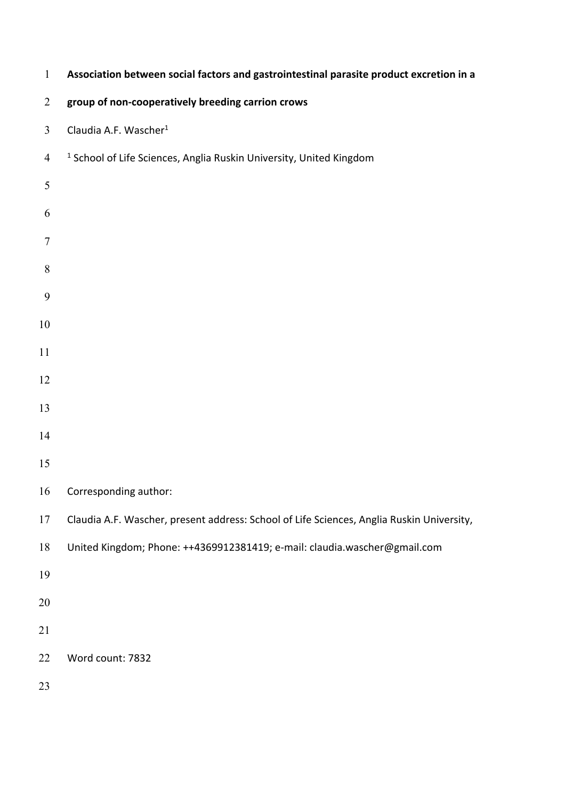| $\mathbf{1}$     | Association between social factors and gastrointestinal parasite product excretion in a   |
|------------------|-------------------------------------------------------------------------------------------|
| $\overline{2}$   | group of non-cooperatively breeding carrion crows                                         |
| $\mathfrak{Z}$   | Claudia A.F. Wascher <sup>1</sup>                                                         |
| $\overline{4}$   | <sup>1</sup> School of Life Sciences, Anglia Ruskin University, United Kingdom            |
| 5                |                                                                                           |
| 6                |                                                                                           |
| $\boldsymbol{7}$ |                                                                                           |
| 8                |                                                                                           |
| 9                |                                                                                           |
| $10\,$           |                                                                                           |
| 11               |                                                                                           |
| 12               |                                                                                           |
| 13               |                                                                                           |
| 14               |                                                                                           |
| 15               |                                                                                           |
| 16               | Corresponding author:                                                                     |
| $17\,$           | Claudia A.F. Wascher, present address: School of Life Sciences, Anglia Ruskin University, |
| $18\,$           | United Kingdom; Phone: ++4369912381419; e-mail: claudia.wascher@gmail.com                 |
| 19               |                                                                                           |
| 20               |                                                                                           |
| 21               |                                                                                           |
| 22               | Word count: 7832                                                                          |
| 23               |                                                                                           |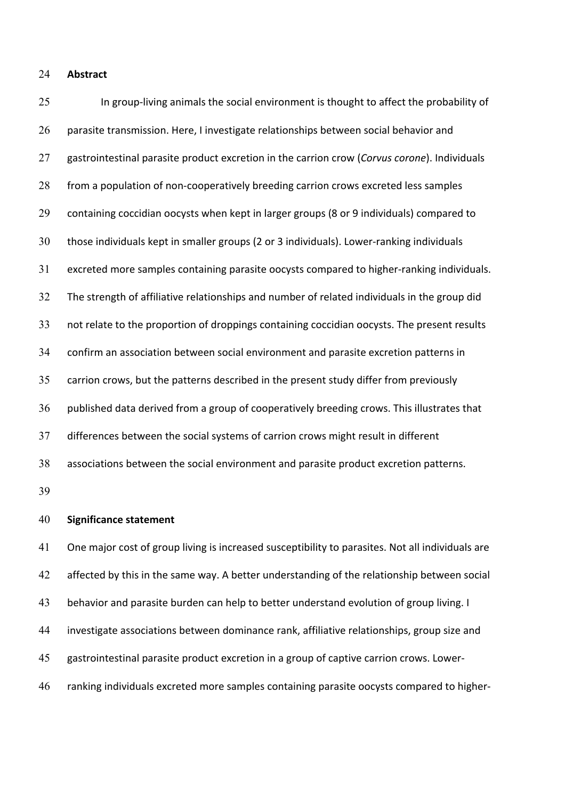#### 24 **Abstract**

 In group-living animals the social environment is thought to affect the probability of parasite transmission. Here, I investigate relationships between social behavior and gastrointestinal parasite product excretion in the carrion crow (*Corvus corone*). Individuals from a population of non-cooperatively breeding carrion crows excreted less samples containing coccidian oocysts when kept in larger groups (8 or 9 individuals) compared to those individuals kept in smaller groups (2 or 3 individuals). Lower-ranking individuals excreted more samples containing parasite oocysts compared to higher-ranking individuals. The strength of affiliative relationships and number of related individuals in the group did not relate to the proportion of droppings containing coccidian oocysts. The present results confirm an association between social environment and parasite excretion patterns in carrion crows, but the patterns described in the present study differ from previously published data derived from a group of cooperatively breeding crows. This illustrates that differences between the social systems of carrion crows might result in different associations between the social environment and parasite product excretion patterns. 25 26 27 28 29 30 31 32 33 34 35 36 37 38 39

### 40 **Significance statement**

 One major cost of group living is increased susceptibility to parasites. Not all individuals are affected by this in the same way. A better understanding of the relationship between social behavior and parasite burden can help to better understand evolution of group living. I investigate associations between dominance rank, affiliative relationships, group size and gastrointestinal parasite product excretion in a group of captive carrion crows. Lower- ranking individuals excreted more samples containing parasite oocysts compared to higher-41 42 43 44 45 46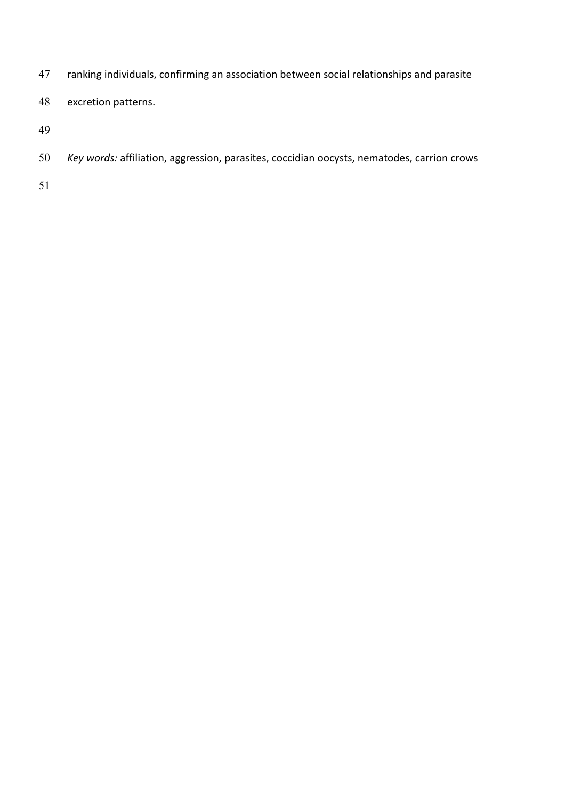ranking individuals, confirming an association between social relationships and parasite 

 excretion patterns. 

 *Key words:* affiliation, aggression, parasites, coccidian oocysts, nematodes, carrion crows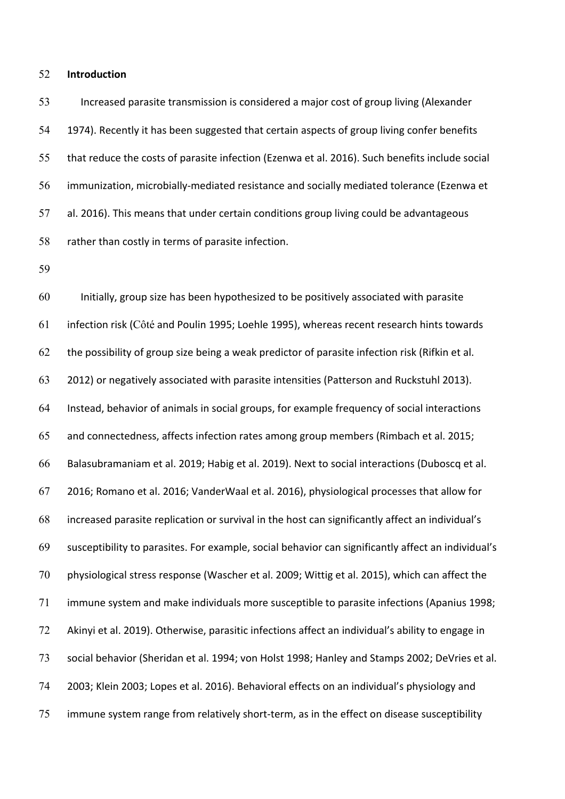#### 52 **Introduction**

 Increased parasite transmission is considered a major cost of group living (Alexander 1974). Recently it has been suggested that certain aspects of group living confer benefits that reduce the costs of parasite infection (Ezenwa et al. 2016). Such benefits include social immunization, microbially-mediated resistance and socially mediated tolerance (Ezenwa et al. 2016). This means that under certain conditions group living could be advantageous rather than costly in terms of parasite infection. 53 54 55 56 57 58

59

 Initially, group size has been hypothesized to be positively associated with parasite infection risk (Côté and Poulin 1995; Loehle 1995), whereas recent research hints towards the possibility of group size being a weak predictor of parasite infection risk (Rifkin et al. 2012) or negatively associated with parasite intensities (Patterson and Ruckstuhl 2013). Instead, behavior of animals in social groups, for example frequency of social interactions and connectedness, affects infection rates among group members (Rimbach et al. 2015; Balasubramaniam et al. 2019; Habig et al. 2019). Next to social interactions (Duboscq et al. 2016; Romano et al. 2016; VanderWaal et al. 2016), physiological processes that allow for increased parasite replication or survival in the host can significantly affect an individual's susceptibility to parasites. For example, social behavior can significantly affect an individual's physiological stress response (Wascher et al. 2009; Wittig et al. 2015), which can affect the immune system and make individuals more susceptible to parasite infections (Apanius 1998; Akinyi et al. 2019). Otherwise, parasitic infections affect an individual's ability to engage in social behavior (Sheridan et al. 1994; von Holst 1998; Hanley and Stamps 2002; DeVries et al. 2003; Klein 2003; Lopes et al. 2016). Behavioral effects on an individual's physiology and immune system range from relatively short-term, as in the effect on disease susceptibility 60 61 62 63 64 65 66 67 68 69 70 71 72 73 74 75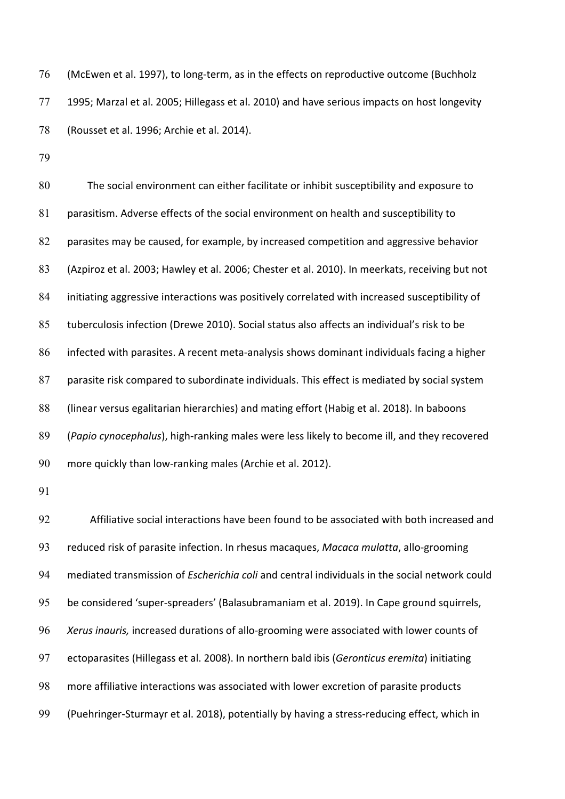(McEwen et al. 1997), to long-term, as in the effects on reproductive outcome (Buchholz 1995; Marzal et al. 2005; Hillegass et al. 2010) and have serious impacts on host longevity (Rousset et al. 1996; Archie et al. 2014). 76 77 78

79

 The social environment can either facilitate or inhibit susceptibility and exposure to parasitism. Adverse effects of the social environment on health and susceptibility to parasites may be caused, for example, by increased competition and aggressive behavior (Azpiroz et al. 2003; Hawley et al. 2006; Chester et al. 2010). In meerkats, receiving but not initiating aggressive interactions was positively correlated with increased susceptibility of tuberculosis infection (Drewe 2010). Social status also affects an individual's risk to be infected with parasites. A recent meta-analysis shows dominant individuals facing a higher parasite risk compared to subordinate individuals. This effect is mediated by social system (linear versus egalitarian hierarchies) and mating effort (Habig et al. 2018). In baboons (*Papio cynocephalus*), high-ranking males were less likely to become ill, and they recovered more quickly than low-ranking males (Archie et al. 2012). 80 81 82 83 84 85 86 87 88 89 90

91

 Affiliative social interactions have been found to be associated with both increased and reduced risk of parasite infection. In rhesus macaques, *Macaca mulatta*, allo-grooming mediated transmission of *Escherichia coli* and central individuals in the social network could be considered 'super-spreaders' (Balasubramaniam et al. 2019). In Cape ground squirrels, *Xerus inauris,* increased durations of allo-grooming were associated with lower counts of ectoparasites (Hillegass et al. 2008). In northern bald ibis (*Geronticus eremita*) initiating more affiliative interactions was associated with lower excretion of parasite products (Puehringer-Sturmayr et al. 2018), potentially by having a stress-reducing effect, which in 92 93 94 95 96 97 98 99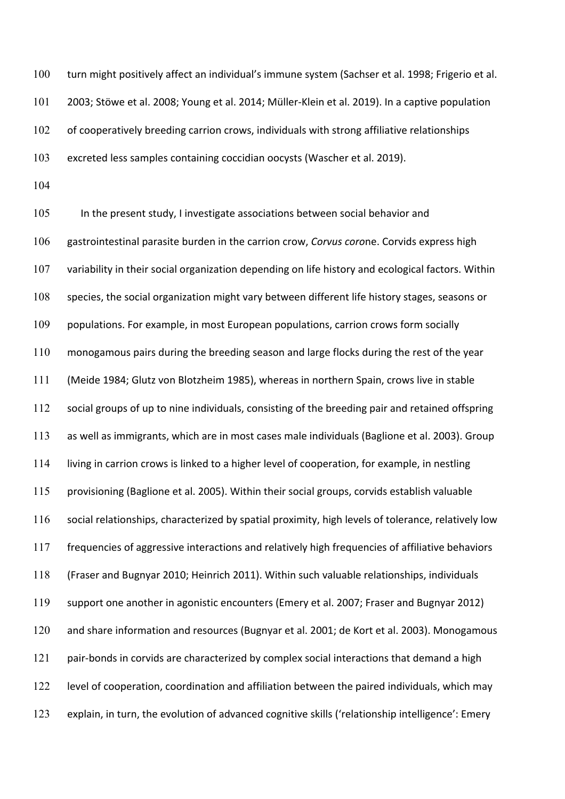turn might positively affect an individual's immune system (Sachser et al. 1998; Frigerio et al. 2003; Stöwe et al. 2008; Young et al. 2014; Müller-Klein et al. 2019). In a captive population of cooperatively breeding carrion crows, individuals with strong affiliative relationships excreted less samples containing coccidian oocysts (Wascher et al. 2019). 100 101 102 103

104

 In the present study, I investigate associations between social behavior and gastrointestinal parasite burden in the carrion crow, *Corvus coro*ne. Corvids express high variability in their social organization depending on life history and ecological factors. Within species, the social organization might vary between different life history stages, seasons or populations. For example, in most European populations, carrion crows form socially monogamous pairs during the breeding season and large flocks during the rest of the year (Meide 1984; Glutz von Blotzheim 1985), whereas in northern Spain, crows live in stable social groups of up to nine individuals, consisting of the breeding pair and retained offspring as well as immigrants, which are in most cases male individuals (Baglione et al. 2003). Group living in carrion crows is linked to a higher level of cooperation, for example, in nestling provisioning (Baglione et al. 2005). Within their social groups, corvids establish valuable social relationships, characterized by spatial proximity, high levels of tolerance, relatively low frequencies of aggressive interactions and relatively high frequencies of affiliative behaviors (Fraser and Bugnyar 2010; Heinrich 2011). Within such valuable relationships, individuals support one another in agonistic encounters (Emery et al. 2007; Fraser and Bugnyar 2012) and share information and resources (Bugnyar et al. 2001; de Kort et al. 2003). Monogamous pair-bonds in corvids are characterized by complex social interactions that demand a high level of cooperation, coordination and affiliation between the paired individuals, which may explain, in turn, the evolution of advanced cognitive skills ('relationship intelligence': Emery 105 106 107 108 109 110 111 112 113 114 115 116 117 118 119 120 121 122 123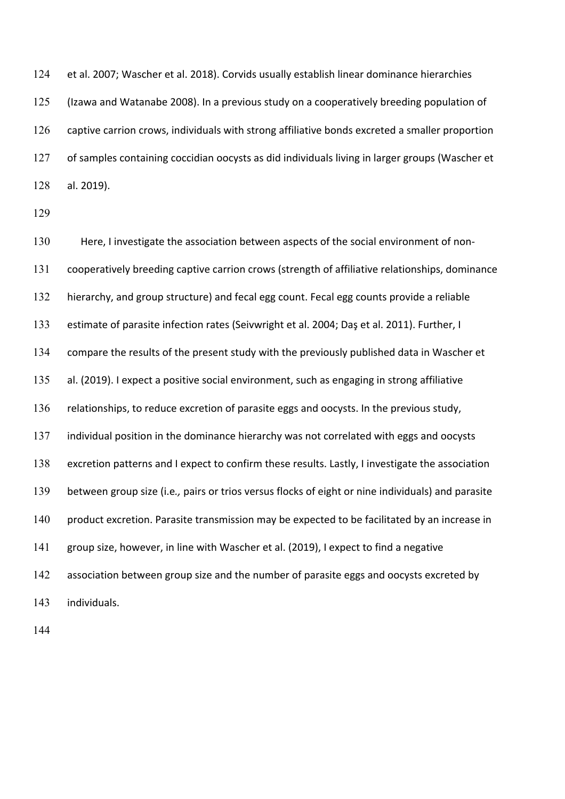et al. 2007; Wascher et al. 2018). Corvids usually establish linear dominance hierarchies (Izawa and Watanabe 2008). In a previous study on a cooperatively breeding population of captive carrion crows, individuals with strong affiliative bonds excreted a smaller proportion of samples containing coccidian oocysts as did individuals living in larger groups (Wascher et al. 2019). 124 125 126 127 128

129

 Here, I investigate the association between aspects of the social environment of non- cooperatively breeding captive carrion crows (strength of affiliative relationships, dominance hierarchy, and group structure) and fecal egg count. Fecal egg counts provide a reliable estimate of parasite infection rates (Seivwright et al. 2004; Daş et al. 2011). Further, I compare the results of the present study with the previously published data in Wascher et al. (2019). I expect a positive social environment, such as engaging in strong affiliative relationships, to reduce excretion of parasite eggs and oocysts. In the previous study, individual position in the dominance hierarchy was not correlated with eggs and oocysts excretion patterns and I expect to confirm these results. Lastly, I investigate the association between group size (i.e*.,* pairs or trios versus flocks of eight or nine individuals) and parasite product excretion. Parasite transmission may be expected to be facilitated by an increase in group size, however, in line with Wascher et al. (2019), I expect to find a negative association between group size and the number of parasite eggs and oocysts excreted by 130 131 132 133 134 135 136 137 138 139 140 141 142 143 individuals.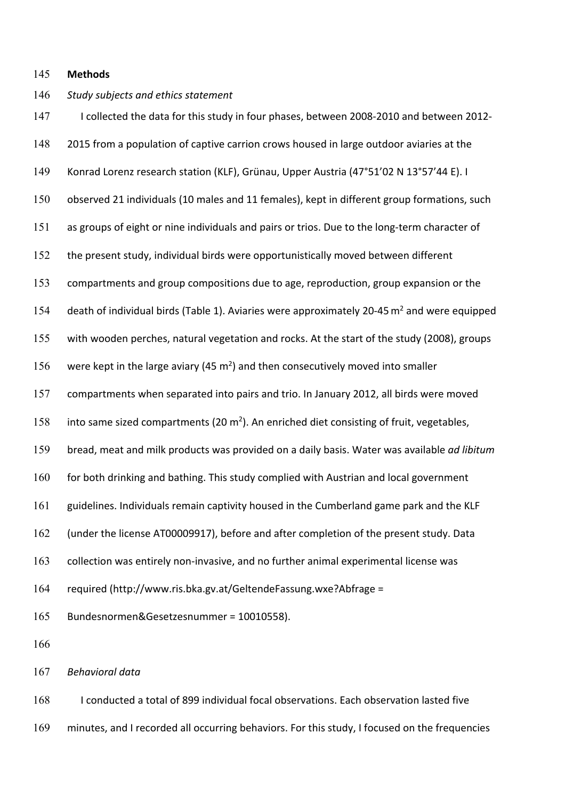#### 145 **Methods**

### *Study subjects and ethics statement*  146

 I collected the data for this study in four phases, between 2008-2010 and between 2012- 2015 from a population of captive carrion crows housed in large outdoor aviaries at the Konrad Lorenz research station (KLF), Grünau, Upper Austria (47°51'02 N 13°57'44 E). I observed 21 individuals (10 males and 11 females), kept in different group formations, such as groups of eight or nine individuals and pairs or trios. Due to the long-term character of the present study, individual birds were opportunistically moved between different compartments and group compositions due to age, reproduction, group expansion or the death of individual birds (Table 1). Aviaries were approximately 20-45  $m<sup>2</sup>$  and were equipped with wooden perches, natural vegetation and rocks. At the start of the study (2008), groups were kept in the large aviary (45  $m<sup>2</sup>$ ) and then consecutively moved into smaller compartments when separated into pairs and trio. In January 2012, all birds were moved into same sized compartments (20  $m<sup>2</sup>$ ). An enriched diet consisting of fruit, vegetables, bread, meat and milk products was provided on a daily basis. Water was available *ad libitum*  for both drinking and bathing. This study complied with Austrian and local government guidelines. Individuals remain captivity housed in the Cumberland game park and the KLF (under the license AT00009917), before and after completion of the present study. Data collection was entirely non-invasive, and no further animal experimental license was 147 148 149 150 151 152 153 154 155 156 157 158 159 160 161 162 163 164 165 166 required [\(http://www.ris.bka.gv.at/GeltendeFassung.wxe?Abfrage](http://www.ris.bka.gv.at/GeltendeFassung.wxe?Abfrage) = Bundesnormen&Gesetzesnummer = 10010558).

 *Behavioral data*  167

 I conducted a total of 899 individual focal observations. Each observation lasted five minutes, and I recorded all occurring behaviors. For this study, I focused on the frequencies 168 169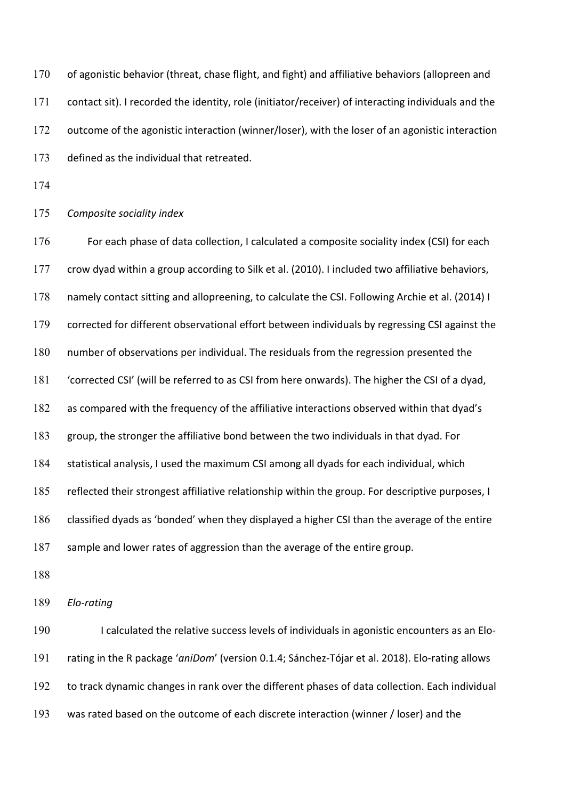of agonistic behavior (threat, chase flight, and fight) and affiliative behaviors (allopreen and contact sit). I recorded the identity, role (initiator/receiver) of interacting individuals and the outcome of the agonistic interaction (winner/loser), with the loser of an agonistic interaction defined as the individual that retreated. 170 171 172 173

174

 *Composite sociality index*  175

 For each phase of data collection, I calculated a composite sociality index (CSI) for each crow dyad within a group according to Silk et al. (2010). I included two affiliative behaviors, namely contact sitting and allopreening, to calculate the CSI. Following Archie et al. (2014) I corrected for different observational effort between individuals by regressing CSI against the number of observations per individual. The residuals from the regression presented the 'corrected CSI' (will be referred to as CSI from here onwards). The higher the CSI of a dyad, as compared with the frequency of the affiliative interactions observed within that dyad's group, the stronger the affiliative bond between the two individuals in that dyad. For statistical analysis, I used the maximum CSI among all dyads for each individual, which reflected their strongest affiliative relationship within the group. For descriptive purposes, I classified dyads as 'bonded' when they displayed a higher CSI than the average of the entire sample and lower rates of aggression than the average of the entire group. 176 177 178 179 180 181 182 183 184 185 186 187

188

189 *Elo-rating* 

 I calculated the relative success levels of individuals in agonistic encounters as an Elo- rating in the R package '*aniDom*' (version 0.1.4; Sánchez-Tójar et al. 2018). Elo-rating allows to track dynamic changes in rank over the different phases of data collection. Each individual was rated based on the outcome of each discrete interaction (winner / loser) and the 190 191 192 193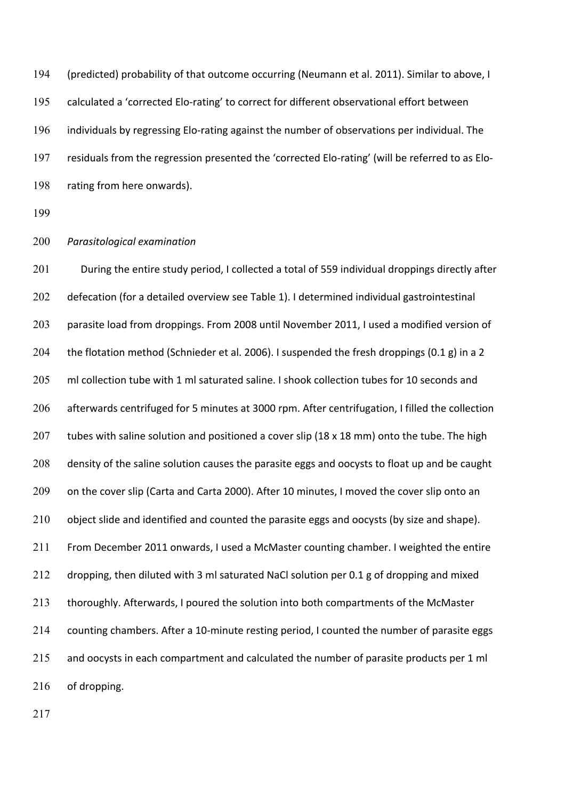(predicted) probability of that outcome occurring (Neumann et al. 2011). Similar to above, I calculated a 'corrected Elo-rating' to correct for different observational effort between individuals by regressing Elo-rating against the number of observations per individual. The residuals from the regression presented the 'corrected Elo-rating' (will be referred to as Elo- rating from here onwards). 194 195 196 197 198

199

#### 200 *Parasitological examination*

 During the entire study period, I collected a total of 559 individual droppings directly after defecation (for a detailed overview see Table 1). I determined individual gastrointestinal parasite load from droppings. From 2008 until November 2011, I used a modified version of the flotation method (Schnieder et al. 2006). I suspended the fresh droppings (0.1 g) in a 2 ml collection tube with 1 ml saturated saline. I shook collection tubes for 10 seconds and afterwards centrifuged for 5 minutes at 3000 rpm. After centrifugation, I filled the collection tubes with saline solution and positioned a cover slip (18 x 18 mm) onto the tube. The high density of the saline solution causes the parasite eggs and oocysts to float up and be caught on the cover slip (Carta and Carta 2000). After 10 minutes, I moved the cover slip onto an object slide and identified and counted the parasite eggs and oocysts (by size and shape). From December 2011 onwards, I used a McMaster counting chamber. I weighted the entire dropping, then diluted with 3 ml saturated NaCl solution per 0.1 g of dropping and mixed thoroughly. Afterwards, I poured the solution into both compartments of the McMaster counting chambers. After a 10-minute resting period, I counted the number of parasite eggs and oocysts in each compartment and calculated the number of parasite products per 1 ml 201 202 203 204 205 206 207 208 209 210 211 212 213 214 215 216 of dropping.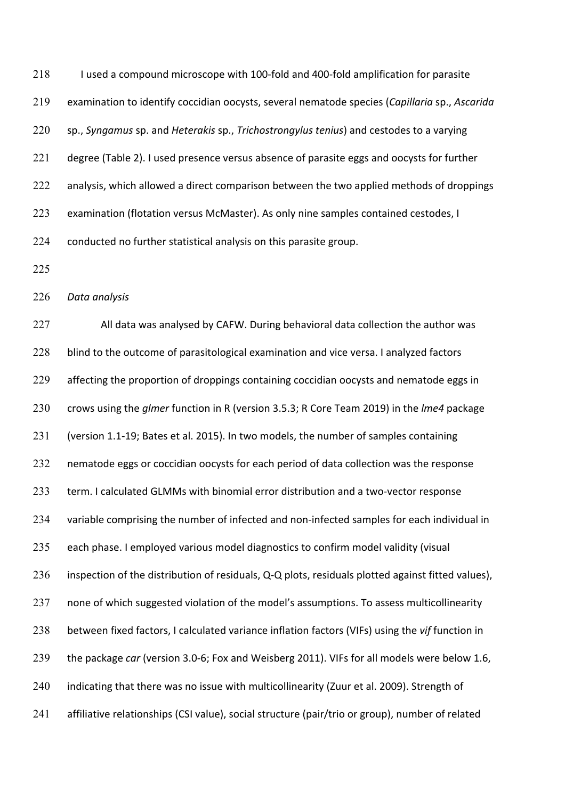I used a compound microscope with 100-fold and 400-fold amplification for parasite examination to identify coccidian oocysts, several nematode species (*Capillaria* sp., *Ascarida*  sp., *Syngamus* sp. and *Heterakis* sp., *Trichostrongylus tenius*) and cestodes to a varying degree (Table 2). I used presence versus absence of parasite eggs and oocysts for further analysis, which allowed a direct comparison between the two applied methods of droppings examination (flotation versus McMaster). As only nine samples contained cestodes, I conducted no further statistical analysis on this parasite group. 218 219 220 221 222 223 224

225

226 *Data analysis* 

 All data was analysed by CAFW. During behavioral data collection the author was blind to the outcome of parasitological examination and vice versa. I analyzed factors affecting the proportion of droppings containing coccidian oocysts and nematode eggs in crows using the *glmer* function in R (version 3.5.3; R Core Team 2019) in the *lme4* package (version 1.1-19; Bates et al. 2015). In two models, the number of samples containing nematode eggs or coccidian oocysts for each period of data collection was the response term. I calculated GLMMs with binomial error distribution and a two-vector response variable comprising the number of infected and non-infected samples for each individual in each phase. I employed various model diagnostics to confirm model validity (visual inspection of the distribution of residuals, Q-Q plots, residuals plotted against fitted values), none of which suggested violation of the model's assumptions. To assess multicollinearity between fixed factors, I calculated variance inflation factors (VIFs) using the *vif* function in the package *car* (version 3.0-6; Fox and Weisberg 2011). VIFs for all models were below 1.6, indicating that there was no issue with multicollinearity (Zuur et al. 2009). Strength of affiliative relationships (CSI value), social structure (pair/trio or group), number of related 227 228 229 230 231 232 233 234 235 236 237 238 239 240 241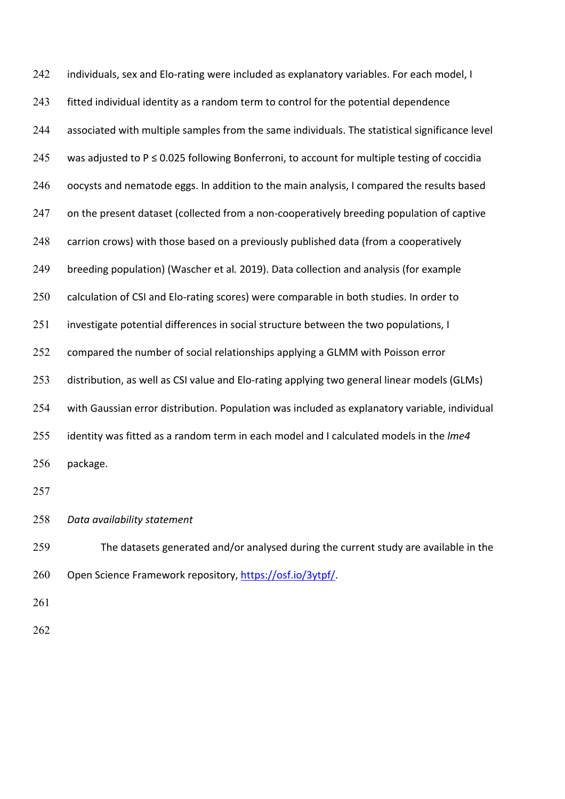individuals, sex and Elo-rating were included as explanatory variables. For each model, I fitted individual identity as a random term to control for the potential dependence associated with multiple samples from the same individuals. The statistical significance level was adjusted to P ≤ 0.025 following Bonferroni, to account for multiple testing of coccidia oocysts and nematode eggs. In addition to the main analysis, I compared the results based on the present dataset (collected from a non-cooperatively breeding population of captive carrion crows) with those based on a previously published data (from a cooperatively breeding population) (Wascher et al*.* 2019). Data collection and analysis (for example calculation of CSI and Elo-rating scores) were comparable in both studies. In order to investigate potential differences in social structure between the two populations, I compared the number of social relationships applying a GLMM with Poisson error distribution, as well as CSI value and Elo-rating applying two general linear models (GLMs) with Gaussian error distribution. Population was included as explanatory variable, individual identity was fitted as a random term in each model and I calculated models in the *lme4 Data availability statement*  242 243 244 245 246 247 248 249 250 251 252 253 254 255 256 257 258 package.

 The datasets generated and/or analysed during the current study are available in the Open Science Framework repository, <https://osf.io/3ytpf>/. 259 260

261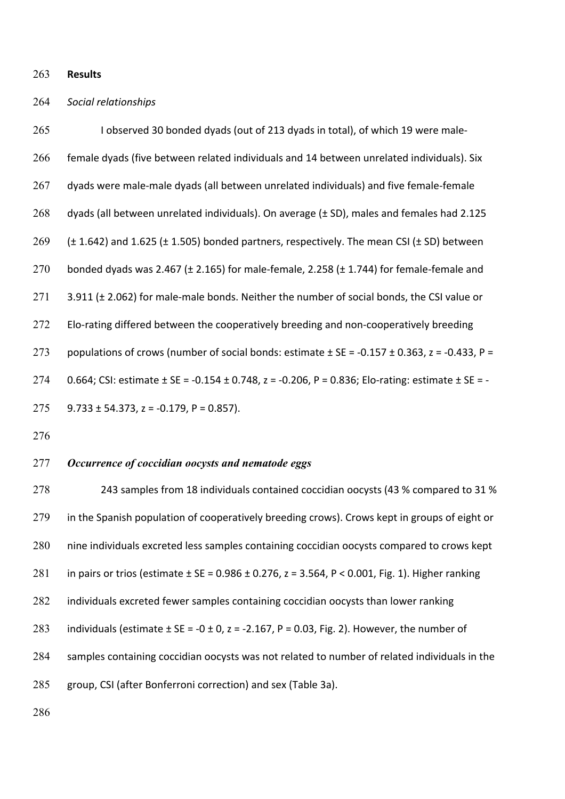263 **Results** 

### *Social relationships* 264

 I observed 30 bonded dyads (out of 213 dyads in total), of which 19 were male- female dyads (five between related individuals and 14 between unrelated individuals). Six dyads were male-male dyads (all between unrelated individuals) and five female-female dyads (all between unrelated individuals). On average (± SD), males and females had 2.125  $(± 1.642)$  and 1.625  $(± 1.505)$  bonded partners, respectively. The mean CSI  $(± SD)$  between bonded dyads was 2.467 (± 2.165) for male-female, 2.258 (± 1.744) for female-female and 3.911 (± 2.062) for male-male bonds. Neither the number of social bonds, the CSI value or Elo-rating differed between the cooperatively breeding and non-cooperatively breeding populations of crows (number of social bonds: estimate  $\pm$  SE = -0.157  $\pm$  0.363, z = -0.433, P = 0.664; CSI: estimate ± SE = -0.154 ± 0.748, z = -0.206, P = 0.836; Elo-rating: estimate ± SE = - 9.733 ± 54.373, z = -0.179, P = 0.857). 265 266 267 268 269 270 271 272 273 274 275

276

### 277 *Occurrence of coccidian oocysts and nematode eggs*

 243 samples from 18 individuals contained coccidian oocysts (43 % compared to 31 % in the Spanish population of cooperatively breeding crows). Crows kept in groups of eight or nine individuals excreted less samples containing coccidian oocysts compared to crows kept in pairs or trios (estimate ± SE = 0.986 ± 0.276, z = 3.564, P < 0.001, Fig. 1). Higher ranking individuals excreted fewer samples containing coccidian oocysts than lower ranking individuals (estimate  $\pm$  SE = -0  $\pm$  0, z = -2.167, P = 0.03, Fig. 2). However, the number of samples containing coccidian oocysts was not related to number of related individuals in the group, CSI (after Bonferroni correction) and sex (Table 3a). 278 279 280 281 282 283 284 285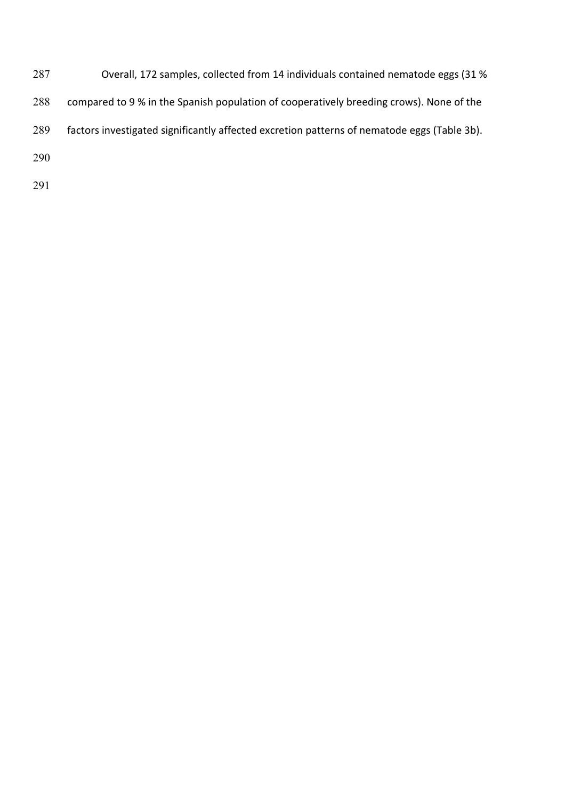- Overall, 172 samples, collected from 14 individuals contained nematode eggs (31 % compared to 9 % in the Spanish population of cooperatively breeding crows). None of the factors investigated significantly affected excretion patterns of nematode eggs (Table 3b).
-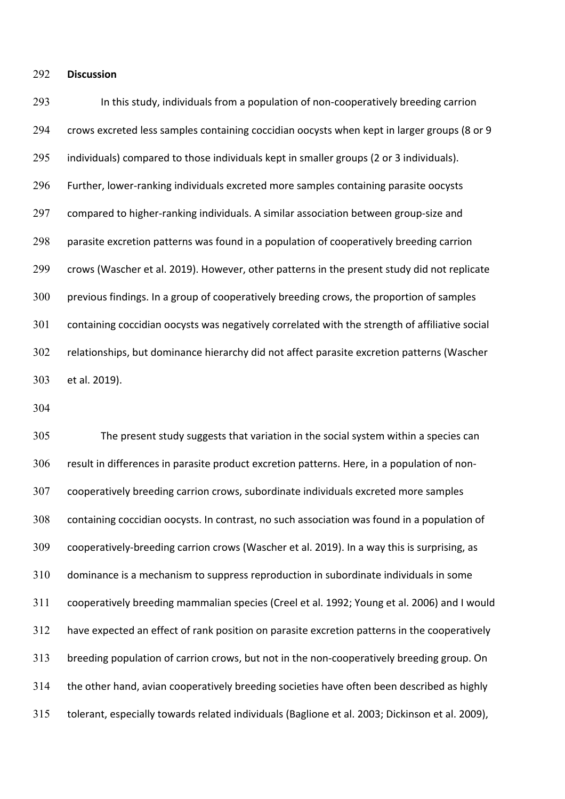#### 292 **Discussion**

 In this study, individuals from a population of non-cooperatively breeding carrion crows excreted less samples containing coccidian oocysts when kept in larger groups (8 or 9 individuals) compared to those individuals kept in smaller groups (2 or 3 individuals). Further, lower-ranking individuals excreted more samples containing parasite oocysts compared to higher-ranking individuals. A similar association between group-size and parasite excretion patterns was found in a population of cooperatively breeding carrion crows (Wascher et al. 2019). However, other patterns in the present study did not replicate previous findings. In a group of cooperatively breeding crows, the proportion of samples containing coccidian oocysts was negatively correlated with the strength of affiliative social relationships, but dominance hierarchy did not affect parasite excretion patterns (Wascher et al. 2019). 293 294 295 296 297 298 299 300 301 302 303

304

 The present study suggests that variation in the social system within a species can result in differences in parasite product excretion patterns. Here, in a population of non- cooperatively breeding carrion crows, subordinate individuals excreted more samples containing coccidian oocysts. In contrast, no such association was found in a population of cooperatively-breeding carrion crows (Wascher et al. 2019). In a way this is surprising, as dominance is a mechanism to suppress reproduction in subordinate individuals in some cooperatively breeding mammalian species (Creel et al. 1992; Young et al. 2006) and I would have expected an effect of rank position on parasite excretion patterns in the cooperatively breeding population of carrion crows, but not in the non-cooperatively breeding group. On the other hand, avian cooperatively breeding societies have often been described as highly tolerant, especially towards related individuals (Baglione et al. 2003; Dickinson et al. 2009), 305 306 307 308 309 310 311 312 313 314 315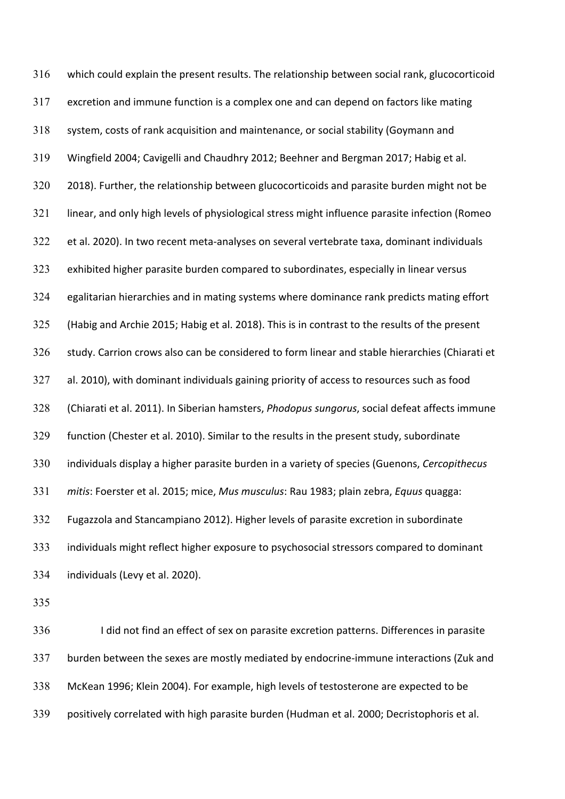which could explain the present results. The relationship between social rank, glucocorticoid excretion and immune function is a complex one and can depend on factors like mating system, costs of rank acquisition and maintenance, or social stability (Goymann and Wingfield 2004; Cavigelli and Chaudhry 2012; Beehner and Bergman 2017; Habig et al. 2018). Further, the relationship between glucocorticoids and parasite burden might not be linear, and only high levels of physiological stress might influence parasite infection (Romeo et al. 2020). In two recent meta-analyses on several vertebrate taxa, dominant individuals exhibited higher parasite burden compared to subordinates, especially in linear versus egalitarian hierarchies and in mating systems where dominance rank predicts mating effort (Habig and Archie 2015; Habig et al. 2018). This is in contrast to the results of the present study. Carrion crows also can be considered to form linear and stable hierarchies (Chiarati et al. 2010), with dominant individuals gaining priority of access to resources such as food (Chiarati et al. 2011). In Siberian hamsters, *Phodopus sungorus*, social defeat affects immune function (Chester et al. 2010). Similar to the results in the present study, subordinate individuals display a higher parasite burden in a variety of species (Guenons, *Cercopithecus mitis*: Foerster et al. 2015; mice, *Mus musculus*: Rau 1983; plain zebra, *Equus* quagga: Fugazzola and Stancampiano 2012). Higher levels of parasite excretion in subordinate individuals might reflect higher exposure to psychosocial stressors compared to dominant individuals (Levy et al. 2020). 316 317 318 319 320 321 322 323 324 325 326 327 328 329 330 331 332 333 334

335

 I did not find an effect of sex on parasite excretion patterns. Differences in parasite burden between the sexes are mostly mediated by endocrine-immune interactions (Zuk and McKean 1996; Klein 2004). For example, high levels of testosterone are expected to be positively correlated with high parasite burden (Hudman et al. 2000; Decristophoris et al. 336 337 338 339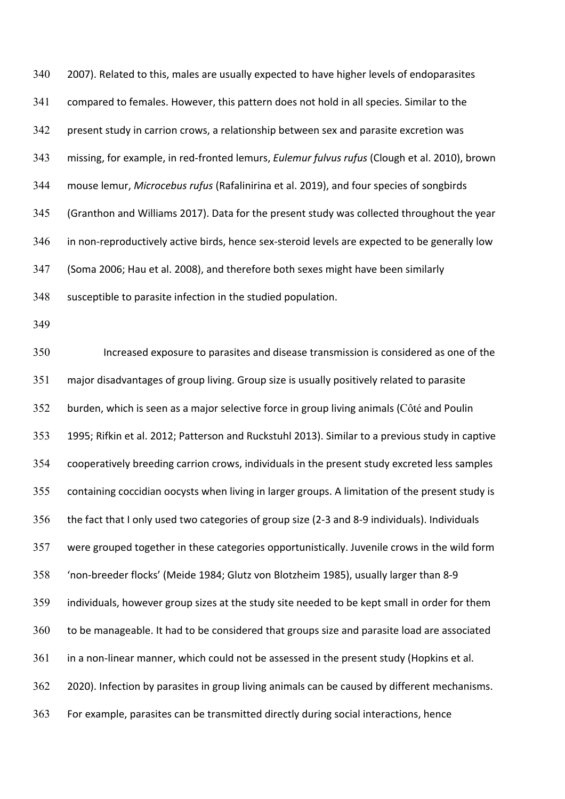2007). Related to this, males are usually expected to have higher levels of endoparasites compared to females. However, this pattern does not hold in all species. Similar to the present study in carrion crows, a relationship between sex and parasite excretion was missing, for example, in red-fronted lemurs, *Eulemur fulvus rufus* (Clough et al. 2010), brown mouse lemur, *Microcebus rufus* (Rafalinirina et al. 2019), and four species of songbirds (Granthon and Williams 2017). Data for the present study was collected throughout the year in non-reproductively active birds, hence sex-steroid levels are expected to be generally low (Soma 2006; Hau et al. 2008), and therefore both sexes might have been similarly susceptible to parasite infection in the studied population. 340 341 342 343 344 345 346 347 348

349

 Increased exposure to parasites and disease transmission is considered as one of the major disadvantages of group living. Group size is usually positively related to parasite burden, which is seen as a major selective force in group living animals (Côté and Poulin 1995; Rifkin et al. 2012; Patterson and Ruckstuhl 2013). Similar to a previous study in captive cooperatively breeding carrion crows, individuals in the present study excreted less samples containing coccidian oocysts when living in larger groups. A limitation of the present study is the fact that I only used two categories of group size (2-3 and 8-9 individuals). Individuals were grouped together in these categories opportunistically. Juvenile crows in the wild form 'non-breeder flocks' (Meide 1984; Glutz von Blotzheim 1985), usually larger than 8-9 individuals, however group sizes at the study site needed to be kept small in order for them to be manageable. It had to be considered that groups size and parasite load are associated in a non-linear manner, which could not be assessed in the present study (Hopkins et al. 2020). Infection by parasites in group living animals can be caused by different mechanisms. For example, parasites can be transmitted directly during social interactions, hence 350 351 352 353 354 355 356 357 358 359 360 361 362 363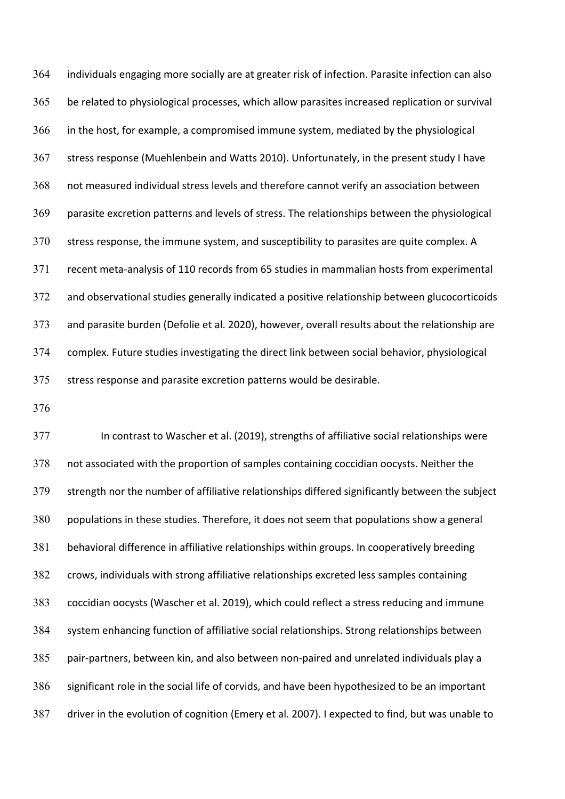individuals engaging more socially are at greater risk of infection. Parasite infection can also be related to physiological processes, which allow parasites increased replication or survival in the host, for example, a compromised immune system, mediated by the physiological stress response (Muehlenbein and Watts 2010). Unfortunately, in the present study I have not measured individual stress levels and therefore cannot verify an association between parasite excretion patterns and levels of stress. The relationships between the physiological stress response, the immune system, and susceptibility to parasites are quite complex. A recent meta-analysis of 110 records from 65 studies in mammalian hosts from experimental and observational studies generally indicated a positive relationship between glucocorticoids and parasite burden (Defolie et al. 2020), however, overall results about the relationship are complex. Future studies investigating the direct link between social behavior, physiological stress response and parasite excretion patterns would be desirable. 364 365 366 367 368 369 370 371 372 373 374 375

376

 In contrast to Wascher et al. (2019), strengths of affiliative social relationships were not associated with the proportion of samples containing coccidian oocysts. Neither the strength nor the number of affiliative relationships differed significantly between the subject populations in these studies. Therefore, it does not seem that populations show a general behavioral difference in affiliative relationships within groups. In cooperatively breeding crows, individuals with strong affiliative relationships excreted less samples containing coccidian oocysts (Wascher et al. 2019), which could reflect a stress reducing and immune system enhancing function of affiliative social relationships. Strong relationships between pair-partners, between kin, and also between non-paired and unrelated individuals play a significant role in the social life of corvids, and have been hypothesized to be an important driver in the evolution of cognition (Emery et al. 2007). I expected to find, but was unable to 377 378 379 380 381 382 383 384 385 386 387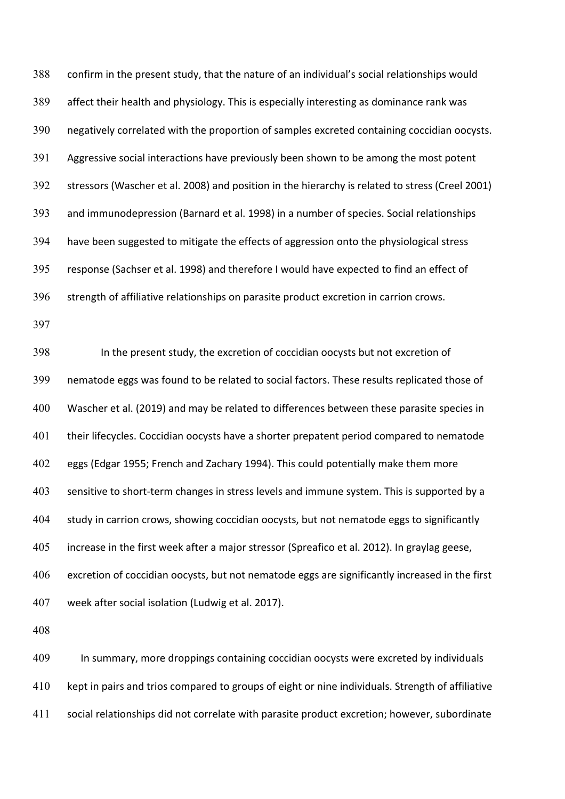confirm in the present study, that the nature of an individual's social relationships would affect their health and physiology. This is especially interesting as dominance rank was negatively correlated with the proportion of samples excreted containing coccidian oocysts. Aggressive social interactions have previously been shown to be among the most potent stressors (Wascher et al. 2008) and position in the hierarchy is related to stress (Creel 2001) and immunodepression (Barnard et al. 1998) in a number of species. Social relationships have been suggested to mitigate the effects of aggression onto the physiological stress response (Sachser et al. 1998) and therefore I would have expected to find an effect of strength of affiliative relationships on parasite product excretion in carrion crows. 388 389 390 391 392 393 394 395 396

397

 nematode eggs was found to be related to social factors. These results replicated those of Wascher et al. (2019) and may be related to differences between these parasite species in their lifecycles. Coccidian oocysts have a shorter prepatent period compared to nematode eggs (Edgar 1955; French and Zachary 1994). This could potentially make them more sensitive to short-term changes in stress levels and immune system. This is supported by a study in carrion crows, showing coccidian oocysts, but not nematode eggs to significantly increase in the first week after a major stressor (Spreafico et al. 2012). In graylag geese, excretion of coccidian oocysts, but not nematode eggs are significantly increased in the first week after social isolation (Ludwig et al. 2017). 398 399 400 401 402 403 404 405 406 407 In the present study, the excretion of coccidian oocysts but not excretion of

408

 In summary, more droppings containing coccidian oocysts were excreted by individuals kept in pairs and trios compared to groups of eight or nine individuals. Strength of affiliative social relationships did not correlate with parasite product excretion; however, subordinate 409 410 411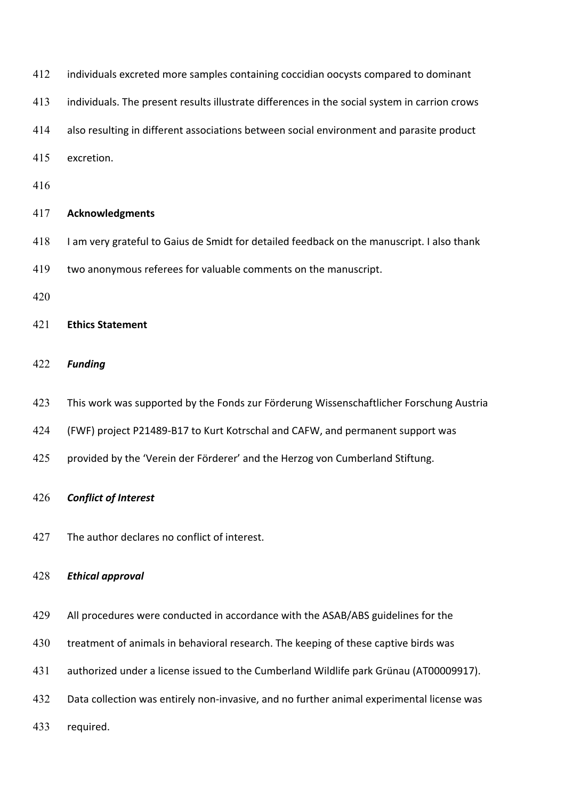- 412 individuals excreted more samples containing coccidian oocysts compared to dominant
- 413 individuals. The present results illustrate differences in the social system in carrion crows
- also resulting in different associations between social environment and parasite product
- excretion.
- 

### **Acknowledgments**

- 418 I am very grateful to Gaius de Smidt for detailed feedback on the manuscript. I also thank
- two anonymous referees for valuable comments on the manuscript.
- 

### **Ethics Statement**

### *Funding*

- 423 This work was supported by the Fonds zur Förderung Wissenschaftlicher Forschung Austria
- (FWF) project P21489-B17 to Kurt Kotrschal and CAFW, and permanent support was
- 425 provided by the 'Verein der Förderer' and the Herzog von Cumberland Stiftung.

### *Conflict of Interest*

427 The author declares no conflict of interest.

### *Ethical approval*

- All procedures were conducted in accordance with the ASAB/ABS guidelines for the
- 430 treatment of animals in behavioral research. The keeping of these captive birds was
- authorized under a license issued to the Cumberland Wildlife park Grünau (AT00009917).
- 432 Data collection was entirely non-invasive, and no further animal experimental license was
- required.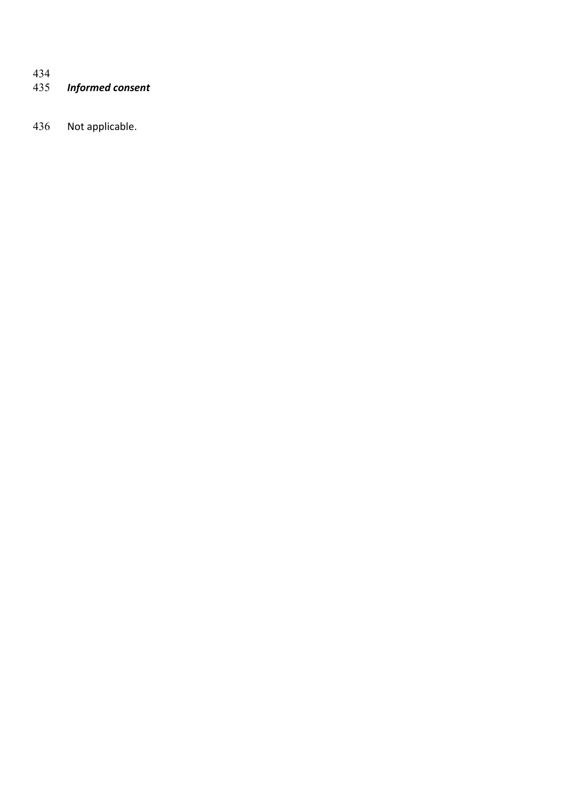# *Informed consent*  434<br>435

Not applicable.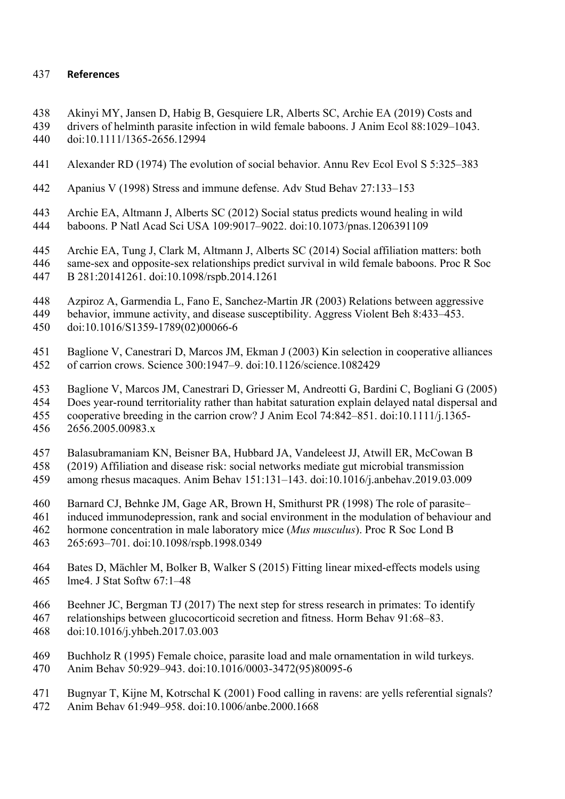## 437 **References**

- 438 Akinyi MY, Jansen D, Habig B, Gesquiere LR, Alberts SC, Archie EA (2019) Costs and
- 440 439 drivers of helminth parasite infection in wild female baboons. J Anim Ecol 88:1029–1043. doi:10.1111/1365-2656.12994
- 441 Alexander RD (1974) The evolution of social behavior. Annu Rev Ecol Evol S 5:325–383
- 442 Apanius V (1998) Stress and immune defense. Adv Stud Behav 27:133–153
- 443 Archie EA, Altmann J, Alberts SC (2012) Social status predicts wound healing in wild 444 baboons. P Natl Acad Sci USA 109:9017–9022. doi:10.1073/pnas.1206391109
- 445 Archie EA, Tung J, Clark M, Altmann J, Alberts SC (2014) Social affiliation matters: both
- 446 same-sex and opposite-sex relationships predict survival in wild female baboons. Proc R Soc 447 B 281:20141261. doi:10.1098/rspb.2014.1261
- 448 Azpiroz A, Garmendia L, Fano E, Sanchez-Martin JR (2003) Relations between aggressive
- 450 449 behavior, immune activity, and disease susceptibility. Aggress Violent Beh 8:433–453. doi:10.1016/S1359-1789(02)00066-6
- 451 Baglione V, Canestrari D, Marcos JM, Ekman J (2003) Kin selection in cooperative alliances 452 of carrion crows. Science 300:1947–9. doi:10.1126/science.1082429
- 453 Baglione V, Marcos JM, Canestrari D, Griesser M, Andreotti G, Bardini C, Bogliani G (2005)
- 454 Does year-round territoriality rather than habitat saturation explain delayed natal dispersal and
- cooperative breeding in the carrion crow? J Anim Ecol 74:842–851. doi:10.1111/j.1365- 455 456 2656.2005.00983.x
- 457 Balasubramaniam KN, Beisner BA, Hubbard JA, Vandeleest JJ, Atwill ER, McCowan B
- 458 (2019) Affiliation and disease risk: social networks mediate gut microbial transmission
- 459 among rhesus macaques. Anim Behav 151:131–143. doi:10.1016/j.anbehav.2019.03.009
- 460 Barnard CJ, Behnke JM, Gage AR, Brown H, Smithurst PR (1998) The role of parasite–
- 461 induced immunodepression, rank and social environment in the modulation of behaviour and
- 462 hormone concentration in male laboratory mice (*Mus musculus*). Proc R Soc Lond B
- 463 265:693–701. doi:10.1098/rspb.1998.0349
- 464 Bates D, Mächler M, Bolker B, Walker S (2015) Fitting linear mixed-effects models using lme4. J Stat Softw 67:1–48 465
- 466 Beehner JC, Bergman TJ (2017) The next step for stress research in primates: To identify
- 467 relationships between glucocorticoid secretion and fitness. Horm Behav 91:68–83.
- 468 doi:10.1016/j.yhbeh.2017.03.003
- 469 Buchholz R (1995) Female choice, parasite load and male ornamentation in wild turkeys.
- 470 Anim Behav 50:929–943. doi:10.1016/0003-3472(95)80095-6
- 471 Bugnyar T, Kijne M, Kotrschal K (2001) Food calling in ravens: are yells referential signals?
- 472 Anim Behav 61:949–958. doi:10.1006/anbe.2000.1668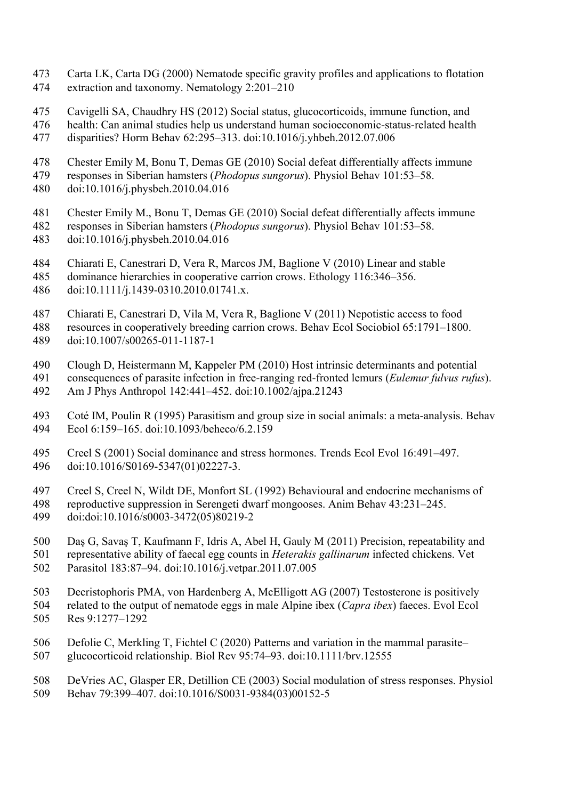- 473 Carta LK, Carta DG (2000) Nematode specific gravity profiles and applications to flotation 474 extraction and taxonomy. Nematology 2:201–210
- Cavigelli SA, Chaudhry HS (2012) Social status, glucocorticoids, immune function, and 475
- 476 health: Can animal studies help us understand human socioeconomic-status-related health
- 477 disparities? Horm Behav 62:295–313. doi:10.1016/j.yhbeh.2012.07.006
- 478 Chester Emily M, Bonu T, Demas GE (2010) Social defeat differentially affects immune
- 479 responses in Siberian hamsters (*Phodopus sungorus*). Physiol Behav 101:53–58.
- 480 doi:10.1016/j.physbeh.2010.04.016
- 481 Chester Emily M., Bonu T, Demas GE (2010) Social defeat differentially affects immune
- 482 responses in Siberian hamsters (*Phodopus sungorus*). Physiol Behav 101:53–58. 483 doi:10.1016/j.physbeh.2010.04.016
- 484 Chiarati E, Canestrari D, Vera R, Marcos JM, Baglione V (2010) Linear and stable
- 485 dominance hierarchies in cooperative carrion crows. Ethology 116:346–356.
- 486 doi:10.1111/j.1439-0310.2010.01741.x.
- 487 Chiarati E, Canestrari D, Vila M, Vera R, Baglione V (2011) Nepotistic access to food
- 488 resources in cooperatively breeding carrion crows. Behav Ecol Sociobiol 65:1791–1800. 489 doi:10.1007/s00265-011-1187-1
- Clough D, Heistermann M, Kappeler PM (2010) Host intrinsic determinants and potential 490
- 491 consequences of parasite infection in free-ranging red-fronted lemurs (*Eulemur fulvus rufus*). 492 Am J Phys Anthropol 142:441–452. doi:10.1002/ajpa.21243
- 493 Coté IM, Poulin R (1995) Parasitism and group size in social animals: a meta-analysis. Behav 494 Ecol 6:159–165. doi:10.1093/beheco/6.2.159
- Creel S (2001) Social dominance and stress hormones. Trends Ecol Evol 16:491–497. 495 496 doi:10.1016/S0169-5347(01)02227-3.
- 497 Creel S, Creel N, Wildt DE, Monfort SL (1992) Behavioural and endocrine mechanisms of 498 reproductive suppression in Serengeti dwarf mongooses. Anim Behav 43:231–245.
- 499 doi:doi:10.1016/s0003-3472(05)80219-2
- Daş G, Savaş T, Kaufmann F, Idris A, Abel H, Gauly M (2011) Precision, repeatability and 500
- 501 representative ability of faecal egg counts in *Heterakis gallinarum* infected chickens. Vet
- 502 Parasitol 183:87–94. doi:10.1016/j.vetpar.2011.07.005
- 503 Decristophoris PMA, von Hardenberg A, McElligott AG (2007) Testosterone is positively 505 504 related to the output of nematode eggs in male Alpine ibex (*Capra ibex*) faeces. Evol Ecol Res 9:1277–1292
- 506 Defolie C, Merkling T, Fichtel C (2020) Patterns and variation in the mammal parasite– 507 glucocorticoid relationship. Biol Rev 95:74–93. doi:10.1111/brv.12555
- 508 DeVries AC, Glasper ER, Detillion CE (2003) Social modulation of stress responses. Physiol 509 Behav 79:399–407. doi:10.1016/S0031-9384(03)00152-5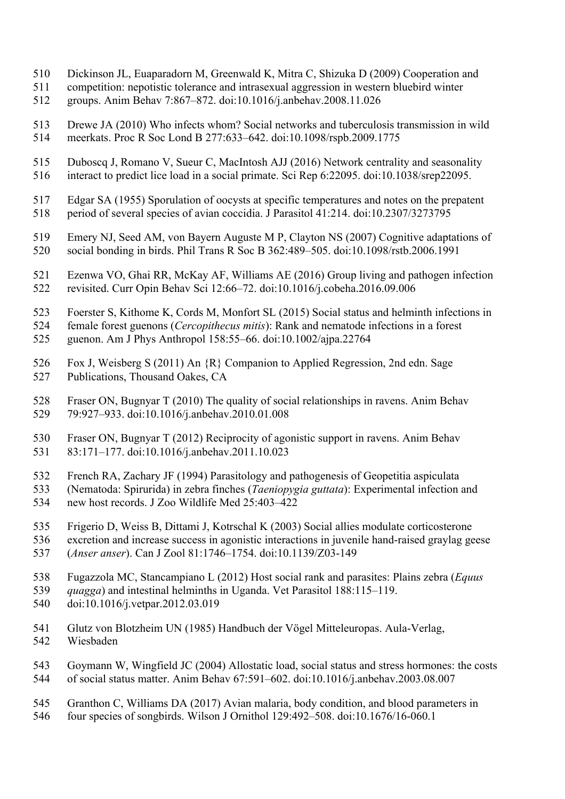- Dickinson JL, Euaparadorn M, Greenwald K, Mitra C, Shizuka D (2009) Cooperation and 510
- 511 competition: nepotistic tolerance and intrasexual aggression in western bluebird winter
- 512 groups. Anim Behav 7:867–872. doi:10.1016/j.anbehav.2008.11.026
- 513 Drewe JA (2010) Who infects whom? Social networks and tuberculosis transmission in wild 514 meerkats. Proc R Soc Lond B 277:633–642. doi:10.1098/rspb.2009.1775
- Duboscq J, Romano V, Sueur C, MacIntosh AJJ (2016) Network centrality and seasonality 515
- 516 interact to predict lice load in a social primate. Sci Rep 6:22095. doi:10.1038/srep22095.
- 517 Edgar SA (1955) Sporulation of oocysts at specific temperatures and notes on the prepatent 518 period of several species of avian coccidia. J Parasitol 41:214. doi:10.2307/3273795
- 519 Emery NJ, Seed AM, von Bayern Auguste M P, Clayton NS (2007) Cognitive adaptations of 520 social bonding in birds. Phil Trans R Soc B 362:489–505. doi:10.1098/rstb.2006.1991
- 521 Ezenwa VO, Ghai RR, McKay AF, Williams AE (2016) Group living and pathogen infection 522 revisited. Curr Opin Behav Sci 12:66–72. doi:10.1016/j.cobeha.2016.09.006
- 523 Foerster S, Kithome K, Cords M, Monfort SL (2015) Social status and helminth infections in
- 524 female forest guenons (*Cercopithecus mitis*): Rank and nematode infections in a forest
- 525 guenon. Am J Phys Anthropol 158:55–66. doi:10.1002/ajpa.22764
- 526 Fox J, Weisberg S (2011) An {R} Companion to Applied Regression, 2nd edn. Sage 527 Publications, Thousand Oakes, CA
- 528 Fraser ON, Bugnyar T (2010) The quality of social relationships in ravens. Anim Behav 529 79:927–933. doi:10.1016/j.anbehav.2010.01.008
- Fraser ON, Bugnyar T (2012) Reciprocity of agonistic support in ravens. Anim Behav 530 531 83:171–177. doi:10.1016/j.anbehav.2011.10.023
- 532 French RA, Zachary JF (1994) Parasitology and pathogenesis of Geopetitia aspiculata
- 534 new host records. J Zoo Wildlife Med 25:403–422 533 (Nematoda: Spirurida) in zebra finches (*Taeniopygia guttata*): Experimental infection and
- Frigerio D, Weiss B, Dittami J, Kotrschal K (2003) Social allies modulate corticosterone 535
- 536 excretion and increase success in agonistic interactions in juvenile hand-raised graylag geese
- 537 (*Anser anser*). Can J Zool 81:1746–1754. doi:10.1139/Z03-149
- 538 Fugazzola MC, Stancampiano L (2012) Host social rank and parasites: Plains zebra (*Equus*
- 539 *quagga*) and intestinal helminths in Uganda. Vet Parasitol 188:115–119.
- 540 doi:10.1016/j.vetpar.2012.03.019
- 541 Glutz von Blotzheim UN (1985) Handbuch der Vögel Mitteleuropas. Aula-Verlag, 542 Wiesbaden
- 543 Goymann W, Wingfield JC (2004) Allostatic load, social status and stress hormones: the costs 544 of social status matter. Anim Behav 67:591–602. doi:10.1016/j.anbehav.2003.08.007
- Granthon C, Williams DA (2017) Avian malaria, body condition, and blood parameters in 545
- 546 four species of songbirds. Wilson J Ornithol 129:492–508. doi:10.1676/16-060.1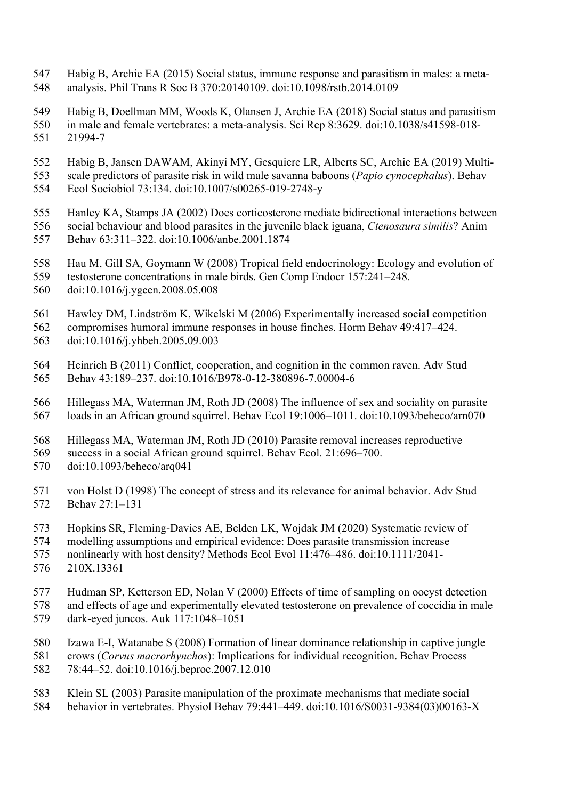- 547 Habig B, Archie EA (2015) Social status, immune response and parasitism in males: a meta-548 analysis. Phil Trans R Soc B 370:20140109. doi:10.1098/rstb.2014.0109
- 549 Habig B, Doellman MM, Woods K, Olansen J, Archie EA (2018) Social status and parasitism
- 550 in male and female vertebrates: a meta-analysis. Sci Rep 8:3629. doi:10.1038/s41598-018- 551 21994-7
- 552 Habig B, Jansen DAWAM, Akinyi MY, Gesquiere LR, Alberts SC, Archie EA (2019) Multi-
- 553 scale predictors of parasite risk in wild male savanna baboons (*Papio cynocephalus*). Behav
- 554 Ecol Sociobiol 73:134. doi:10.1007/s00265-019-2748-y
- Hanley KA, Stamps JA (2002) Does corticosterone mediate bidirectional interactions between 555
- 556 social behaviour and blood parasites in the juvenile black iguana, *Ctenosaura similis*? Anim
- 557 Behav 63:311–322. doi:10.1006/anbe.2001.1874
- 558 Hau M, Gill SA, Goymann W (2008) Tropical field endocrinology: Ecology and evolution of
- 559 testosterone concentrations in male birds. Gen Comp Endocr 157:241–248.
- 560 doi:10.1016/j.ygcen.2008.05.008
- 561 Hawley DM, Lindström K, Wikelski M (2006) Experimentally increased social competition
- 562 compromises humoral immune responses in house finches. Horm Behav 49:417–424. 563 doi:10.1016/j.yhbeh.2005.09.003
- 564 Heinrich B (2011) Conflict, cooperation, and cognition in the common raven. Adv Stud 565 Behav 43:189–237. doi:10.1016/B978-0-12-380896-7.00004-6
- 566 Hillegass MA, Waterman JM, Roth JD (2008) The influence of sex and sociality on parasite 567 loads in an African ground squirrel. Behav Ecol 19:1006–1011. doi:10.1093/beheco/arn070
- 568 Hillegass MA, Waterman JM, Roth JD (2010) Parasite removal increases reproductive
- 569 success in a social African ground squirrel. Behav Ecol. 21:696–700.
- 570 doi:10.1093/beheco/arq041
- 571 von Holst D (1998) The concept of stress and its relevance for animal behavior. Adv Stud 572 Behav 27:1–131
- 573 Hopkins SR, Fleming‐Davies AE, Belden LK, Wojdak JM (2020) Systematic review of
- 574 modelling assumptions and empirical evidence: Does parasite transmission increase
- 575 nonlinearly with host density? Methods Ecol Evol 11:476–486. doi:10.1111/2041-
- 576 210X.13361
- 577 Hudman SP, Ketterson ED, Nolan V (2000) Effects of time of sampling on oocyst detection
- 578 and effects of age and experimentally elevated testosterone on prevalence of coccidia in male<br>579 dark-eved iuncos. Auk 117:1048–1051
- 579 dark-eyed juncos. Auk 117:1048–1051
- Izawa E-I, Watanabe S (2008) Formation of linear dominance relationship in captive jungle 580
- 581 crows (*Corvus macrorhynchos*): Implications for individual recognition. Behav Process
- 582 78:44–52. doi:10.1016/j.beproc.2007.12.010
- 583 Klein SL (2003) Parasite manipulation of the proximate mechanisms that mediate social
- 584 behavior in vertebrates. Physiol Behav 79:441–449. doi:10.1016/S0031-9384(03)00163-X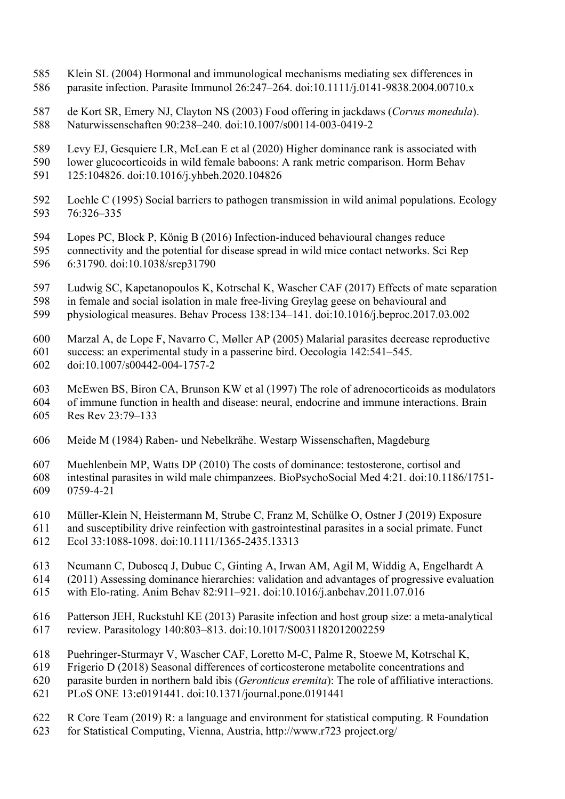- Klein SL (2004) Hormonal and immunological mechanisms mediating sex differences in 585 586 parasite infection. Parasite Immunol 26:247–264. doi:10.1111/j.0141-9838.2004.00710.x
- 587 de Kort SR, Emery NJ, Clayton NS (2003) Food offering in jackdaws (*Corvus monedula*). 588 Naturwissenschaften 90:238–240. doi:10.1007/s00114-003-0419-2
- 589 Levy EJ, Gesquiere LR, McLean E et al (2020) Higher dominance rank is associated with
- 590 lower glucocorticoids in wild female baboons: A rank metric comparison. Horm Behav
- 591 125:104826. doi:10.1016/j.yhbeh.2020.104826
- 592 Loehle C (1995) Social barriers to pathogen transmission in wild animal populations. Ecology 593 76:326–335
- 594 Lopes PC, Block P, König B (2016) Infection-induced behavioural changes reduce
- 595 connectivity and the potential for disease spread in wild mice contact networks. Sci Rep 596 6:31790. doi:10.1038/srep31790
- 597 Ludwig SC, Kapetanopoulos K, Kotrschal K, Wascher CAF (2017) Effects of mate separation
- 598 in female and social isolation in male free-living Greylag geese on behavioural and
- 599 physiological measures. Behav Process 138:134–141. doi:10.1016/j.beproc.2017.03.002
- Marzal A, de Lope F, Navarro C, Møller AP (2005) Malarial parasites decrease reproductive 600
- 601 success: an experimental study in a passerine bird. Oecologia 142:541–545.
- 602 doi:10.1007/s00442-004-1757-2
- 603 McEwen BS, Biron CA, Brunson KW et al (1997) The role of adrenocorticoids as modulators
- 604 of immune function in health and disease: neural, endocrine and immune interactions. Brain
- Res Rev 23:79–133 605
- 606 Meide M (1984) Raben- und Nebelkrähe. Westarp Wissenschaften, Magdeburg
- 607 Muehlenbein MP, Watts DP (2010) The costs of dominance: testosterone, cortisol and
- 608 intestinal parasites in wild male chimpanzees. BioPsychoSocial Med 4:21. doi:10.1186/1751- 609 0759-4-21
- Müller‐Klein N, Heistermann M, Strube C, Franz M, Schülke O, Ostner J (2019) Exposure 610
- 611 and susceptibility drive reinfection with gastrointestinal parasites in a social primate. Funct 612 Ecol 33:1088-1098. doi:10.1111/1365-2435.13313
- 
- 613 Neumann C, Duboscq J, Dubuc C, Ginting A, Irwan AM, Agil M, Widdig A, Engelhardt A 614 (2011) Assessing dominance hierarchies: validation and advantages of progressive evaluation
- 615 with Elo-rating. Anim Behav 82:911–921. doi:10.1016/j.anbehav.2011.07.016
- 616 Patterson JEH, Ruckstuhl KE (2013) Parasite infection and host group size: a meta-analytical 617 review. Parasitology 140:803–813. doi:10.1017/S0031182012002259
- 618 Puehringer-Sturmayr V, Wascher CAF, Loretto M-C, Palme R, Stoewe M, Kotrschal K,
- 619 Frigerio D (2018) Seasonal differences of corticosterone metabolite concentrations and
- 620 parasite burden in northern bald ibis (*Geronticus eremita*): The role of affiliative interactions.
- 621 PLoS ONE 13:e0191441. doi:10.1371/journal.pone.0191441
- 622 R Core Team (2019) R: a language and environment for statistical computing. R Foundation
- 623 for Statistical Computing, Vienna, Austria, http://www.r723 project.org/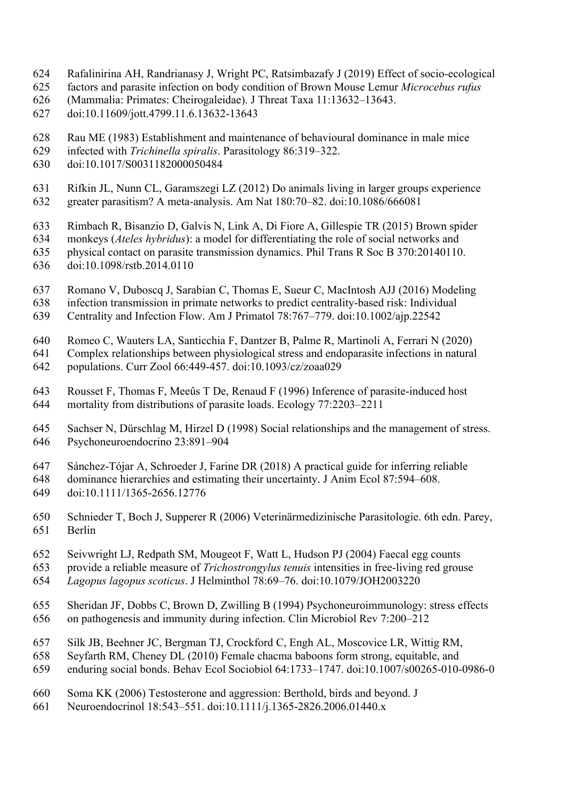- 624 Rafalinirina AH, Randrianasy J, Wright PC, Ratsimbazafy J (2019) Effect of socio-ecological
- 625 factors and parasite infection on body condition of Brown Mouse Lemur *Microcebus rufus*
- 626 (Mammalia: Primates: Cheirogaleidae). J Threat Taxa 11:13632–13643.
- 627 doi:10.11609/jott.4799.11.6.13632-13643
- 628 Rau ME (1983) Establishment and maintenance of behavioural dominance in male mice
- 629 infected with *Trichinella spiralis*. Parasitology 86:319–322.
- 630 doi:10.1017/S0031182000050484
- 631 Rifkin JL, Nunn CL, Garamszegi LZ (2012) Do animals living in larger groups experience 632 greater parasitism? A meta-analysis. Am Nat 180:70–82. doi:10.1086/666081
- 633 Rimbach R, Bisanzio D, Galvis N, Link A, Di Fiore A, Gillespie TR (2015) Brown spider
- 634 monkeys (*Ateles hybridus*): a model for differentiating the role of social networks and
- 635 physical contact on parasite transmission dynamics. Phil Trans R Soc B 370:20140110. 636 doi:10.1098/rstb.2014.0110
- 637 Romano V, Duboscq J, Sarabian C, Thomas E, Sueur C, MacIntosh AJJ (2016) Modeling
- 638 infection transmission in primate networks to predict centrality-based risk: Individual
- 639 Centrality and Infection Flow. Am J Primatol 78:767–779. doi:10.1002/ajp.22542
- Romeo C, Wauters LA, Santicchia F, Dantzer B, Palme R, Martinoli A, Ferrari N (2020) 640
- 641 Complex relationships between physiological stress and endoparasite infections in natural
- 642 populations. Curr Zool 66:449-457. doi:10.1093/cz/zoaa029
- 643 Rousset F, Thomas F, Meeûs T De, Renaud F (1996) Inference of parasite-induced host 644 mortality from distributions of parasite loads. Ecology 77:2203–2211
- Sachser N, Dürschlag M, Hirzel D (1998) Social relationships and the management of stress. 645 646 Psychoneuroendocrino 23:891–904
- 647 Sánchez-Tójar A, Schroeder J, Farine DR (2018) A practical guide for inferring reliable
- 648 dominance hierarchies and estimating their uncertainty. J Anim Ecol 87:594–608. 649 doi:10.1111/1365-2656.12776
- Schnieder T, Boch J, Supperer R (2006) Veterinärmedizinische Parasitologie. 6th edn. Parey, 650 651 Berlin
- 652 Seivwright LJ, Redpath SM, Mougeot F, Watt L, Hudson PJ (2004) Faecal egg counts
- 653 provide a reliable measure of *Trichostrongylus tenuis* intensities in free-living red grouse
- 654 *Lagopus lagopus scoticus*. J Helminthol 78:69–76. doi:10.1079/JOH2003220
- 656 on pathogenesis and immunity during infection. Clin Microbiol Rev 7:200–212 655 Sheridan JF, Dobbs C, Brown D, Zwilling B (1994) Psychoneuroimmunology: stress effects
- 657 Silk JB, Beehner JC, Bergman TJ, Crockford C, Engh AL, Moscovice LR, Wittig RM,
- 658 Seyfarth RM, Cheney DL (2010) Female chacma baboons form strong, equitable, and 659 enduring social bonds. Behav Ecol Sociobiol 64:1733–1747. doi:10.1007/s00265-010-0986-0
- 
- Soma KK (2006) Testosterone and aggression: Berthold, birds and beyond. J 660
- 661 Neuroendocrinol 18:543–551. doi:10.1111/j.1365-2826.2006.01440.x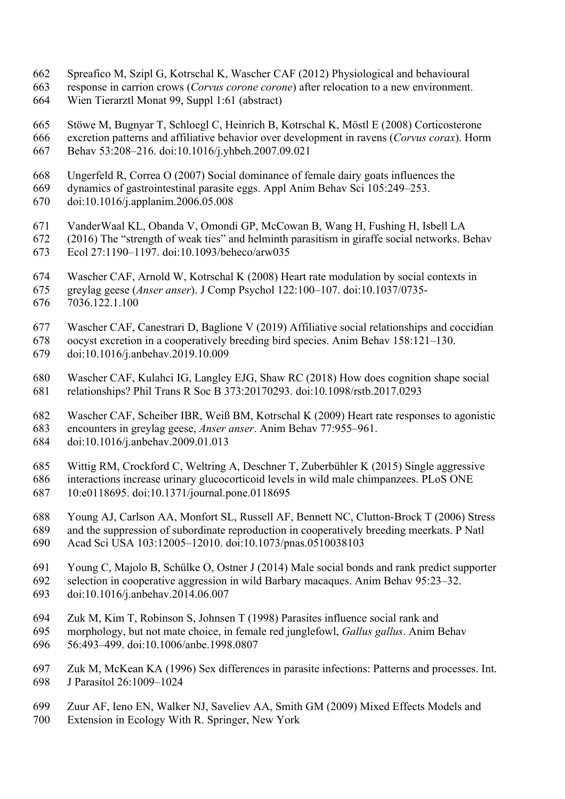- 662 Spreafico M, Szipl G, Kotrschal K, Wascher CAF (2012) Physiological and behavioural
- 663 response in carrion crows (*Corvus corone corone*) after relocation to a new environment.
- 664 Wien Tierarztl Monat 99, Suppl 1:61 (abstract)
- Stöwe M, Bugnyar T, Schloegl C, Heinrich B, Kotrschal K, Möstl E (2008) Corticosterone 665 666 excretion patterns and affiliative behavior over development in ravens (*Corvus corax*). Horm
- 667 Behav 53:208–216. doi:10.1016/j.yhbeh.2007.09.021
- 668 Ungerfeld R, Correa O (2007) Social dominance of female dairy goats influences the
- 669 dynamics of gastrointestinal parasite eggs. Appl Anim Behav Sci 105:249–253.
- 670 doi:10.1016/j.applanim.2006.05.008
- 671 VanderWaal KL, Obanda V, Omondi GP, McCowan B, Wang H, Fushing H, Isbell LA
- 672 (2016) The "strength of weak ties" and helminth parasitism in giraffe social networks. Behav
- 673 Ecol 27:1190–1197. doi:10.1093/beheco/arw035
- 674 Wascher CAF, Arnold W, Kotrschal K (2008) Heart rate modulation by social contexts in
- 675 greylag geese (*Anser anser*). J Comp Psychol 122:100–107. doi:10.1037/0735-
- 676 7036.122.1.100
- 677 Wascher CAF, Canestrari D, Baglione V (2019) Affiliative social relationships and coccidian
- 678 oocyst excretion in a cooperatively breeding bird species. Anim Behav 158:121–130.
- 679 doi:10.1016/j.anbehav.2019.10.009
- Wascher CAF, Kulahci IG, Langley EJG, Shaw RC (2018) How does cognition shape social 680 681 relationships? Phil Trans R Soc B 373:20170293. doi:10.1098/rstb.2017.0293
- 682 Wascher CAF, Scheiber IBR, Weiß BM, Kotrschal K (2009) Heart rate responses to agonistic
- 683 encounters in greylag geese, *Anser anser*. Anim Behav 77:955–961.
- 684 doi:10.1016/j.anbehav.2009.01.013
- Wittig RM, Crockford C, Weltring A, Deschner T, Zuberbühler K (2015) Single aggressive 685
- 686 interactions increase urinary glucocorticoid levels in wild male chimpanzees. PLoS ONE 687 10:e0118695. doi:10.1371/journal.pone.0118695
- 688 Young AJ, Carlson AA, Monfort SL, Russell AF, Bennett NC, Clutton-Brock T (2006) Stress
- 689 and the suppression of subordinate reproduction in cooperatively breeding meerkats. P Natl
- 690 Acad Sci USA 103:12005–12010. doi:10.1073/pnas.0510038103
- 691 Young C, Majolo B, Schülke O, Ostner J (2014) Male social bonds and rank predict supporter
- 692 selection in cooperative aggression in wild Barbary macaques. Anim Behav 95:23–32. 693 doi:10.1016/j.anbehav.2014.06.007
- 694 Zuk M, Kim T, Robinson S, Johnsen T (1998) Parasites influence social rank and
- 695 morphology, but not mate choice, in female red junglefowl, *Gallus gallus*. Anim Behav
- 696 56:493–499. doi:10.1006/anbe.1998.0807
- 697 Zuk M, McKean KA (1996) Sex differences in parasite infections: Patterns and processes. Int. 698 J Parasitol 26:1009–1024
- 699 Zuur AF, Ieno EN, Walker NJ, Saveliev AA, Smith GM (2009) Mixed Effects Models and 700 Extension in Ecology With R. Springer, New York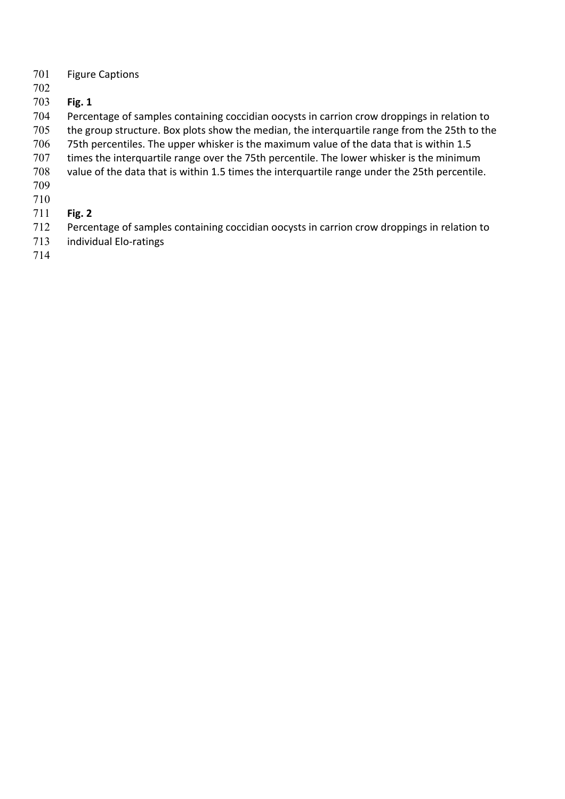- Figure Captions 701
- 702
- **Fig. 1**  703
- Percentage of samples containing coccidian oocysts in carrion crow droppings in relation to 704
- the group structure. Box plots show the median, the interquartile range from the 25th to the 705
- 75th percentiles. The upper whisker is the maximum value of the data that is within 1.5 706
- times the interquartile range over the 75th percentile. The lower whisker is the minimum 707
- value of the data that is within 1.5 times the interquartile range under the 25th percentile. 708
- 709
- 710
- **Fig. 2**  711
- Percentage of samples containing coccidian oocysts in carrion crow droppings in relation to 712
- individual Elo-ratings 713
- 714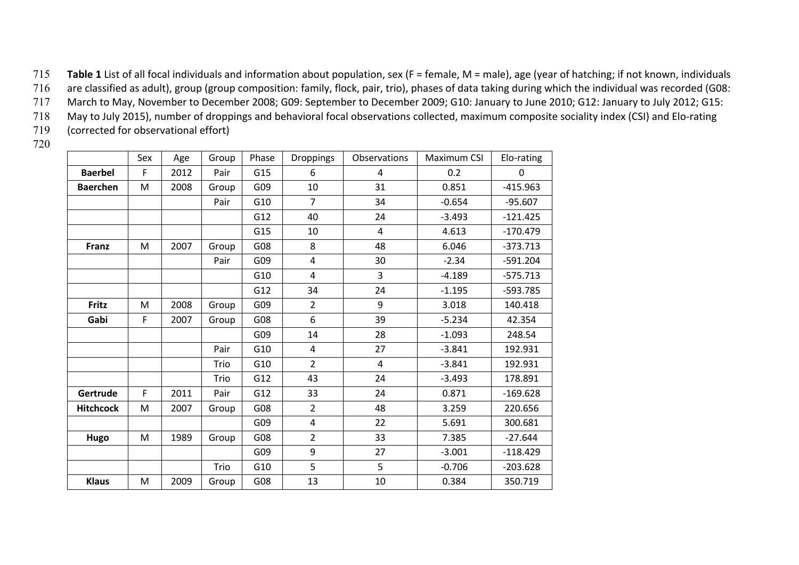715 **Table 1** List of all focal individuals and information about population, sex (F = female, M = male), age (year of hatching; if not known, individuals

716 are classified as adult), group (group composition: family, flock, pair, trio), phases of data taking during which the individual was recorded (G08:

717 March to May, November to December 2008; G09: September to December 2009; G10: January to June 2010; G12: January to July 2012; G15:

 718 May to July 2015), number of droppings and behavioral focal observations collected, maximum composite sociality index (CSI) and Elo-rating 719 (corrected for observational effort)

|                  | Sex | Age  | Group | Phase | Droppings      | Observations   | Maximum CSI | Elo-rating |
|------------------|-----|------|-------|-------|----------------|----------------|-------------|------------|
| <b>Baerbel</b>   | F   | 2012 | Pair  | G15   | 6              | $\overline{4}$ | 0.2         | 0          |
| <b>Baerchen</b>  | M   | 2008 | Group | G09   | 10             | 31             | 0.851       | $-415.963$ |
|                  |     |      | Pair  | G10   | $\overline{7}$ | 34             | $-0.654$    | $-95.607$  |
|                  |     |      |       | G12   | 40             | 24             | $-3.493$    | $-121.425$ |
|                  |     |      |       | G15   | 10             | $\overline{4}$ | 4.613       | $-170.479$ |
| Franz            | M   | 2007 | Group | G08   | 8              | 48             | 6.046       | $-373.713$ |
|                  |     |      | Pair  | G09   | 4              | 30             | $-2.34$     | $-591.204$ |
|                  |     |      |       | G10   | 4              | 3              | $-4.189$    | $-575.713$ |
|                  |     |      |       | G12   | 34             | 24             | $-1.195$    | $-593.785$ |
| Fritz            | M   | 2008 | Group | G09   | $\overline{2}$ | 9              | 3.018       | 140.418    |
| Gabi             | F   | 2007 | Group | G08   | 6              | 39             | $-5.234$    | 42.354     |
|                  |     |      |       | G09   | 14             | 28             | $-1.093$    | 248.54     |
|                  |     |      | Pair  | G10   | 4              | 27             | $-3.841$    | 192.931    |
|                  |     |      | Trio  | G10   | $\overline{2}$ | 4              | $-3.841$    | 192.931    |
|                  |     |      | Trio  | G12   | 43             | 24             | $-3.493$    | 178.891    |
| Gertrude         | F   | 2011 | Pair  | G12   | 33             | 24             | 0.871       | $-169.628$ |
| <b>Hitchcock</b> | M   | 2007 | Group | G08   | $\overline{2}$ | 48             | 3.259       | 220.656    |
|                  |     |      |       | G09   | 4              | 22             | 5.691       | 300.681    |
| Hugo             | M   | 1989 | Group | G08   | $\overline{2}$ | 33             | 7.385       | $-27.644$  |
|                  |     |      |       | G09   | 9              | 27             | $-3.001$    | $-118.429$ |
|                  |     |      | Trio  | G10   | 5              | 5              | $-0.706$    | $-203.628$ |
| <b>Klaus</b>     | M   | 2009 | Group | G08   | 13             | 10             | 0.384       | 350.719    |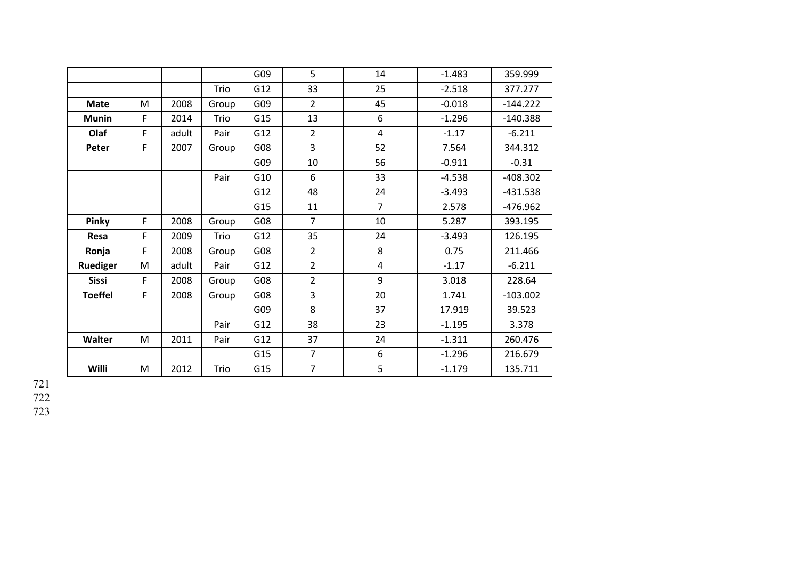|                |   |       |       | G09 | 5              | 14             | $-1.483$ | 359.999    |
|----------------|---|-------|-------|-----|----------------|----------------|----------|------------|
|                |   |       | Trio  | G12 | 33             | 25             | $-2.518$ | 377.277    |
| <b>Mate</b>    | M | 2008  | Group | G09 | $\overline{2}$ | 45             | $-0.018$ | $-144.222$ |
| <b>Munin</b>   | F | 2014  | Trio  | G15 | 13             | 6              | $-1.296$ | $-140.388$ |
| Olaf           | F | adult | Pair  | G12 | $\overline{2}$ | $\overline{4}$ | $-1.17$  | $-6.211$   |
| Peter          | F | 2007  | Group | G08 | 3              | 52             | 7.564    | 344.312    |
|                |   |       |       | G09 | 10             | 56             | $-0.911$ | $-0.31$    |
|                |   |       | Pair  | G10 | 6              | 33             | $-4.538$ | $-408.302$ |
|                |   |       |       | G12 | 48             | 24             | $-3.493$ | $-431.538$ |
|                |   |       |       | G15 | 11             | $\overline{7}$ | 2.578    | $-476.962$ |
| Pinky          | F | 2008  | Group | G08 | $\overline{7}$ | 10             | 5.287    | 393.195    |
| Resa           | F | 2009  | Trio  | G12 | 35             | 24             | $-3.493$ | 126.195    |
| Ronja          | F | 2008  | Group | G08 | $\overline{2}$ | 8              | 0.75     | 211.466    |
| Ruediger       | M | adult | Pair  | G12 | $\overline{2}$ | $\overline{4}$ | $-1.17$  | $-6.211$   |
| <b>Sissi</b>   | F | 2008  | Group | G08 | $\overline{2}$ | 9              | 3.018    | 228.64     |
| <b>Toeffel</b> | F | 2008  | Group | G08 | 3              | 20             | 1.741    | $-103.002$ |
|                |   |       |       | G09 | 8              | 37             | 17.919   | 39.523     |
|                |   |       | Pair  | G12 | 38             | 23             | $-1.195$ | 3.378      |
| Walter         | M | 2011  | Pair  | G12 | 37             | 24             | $-1.311$ | 260.476    |
|                |   |       |       | G15 | $\overline{7}$ | 6              | $-1.296$ | 216.679    |
| Willi          | M | 2012  | Trio  | G15 | $\overline{7}$ | 5              | $-1.179$ | 135.711    |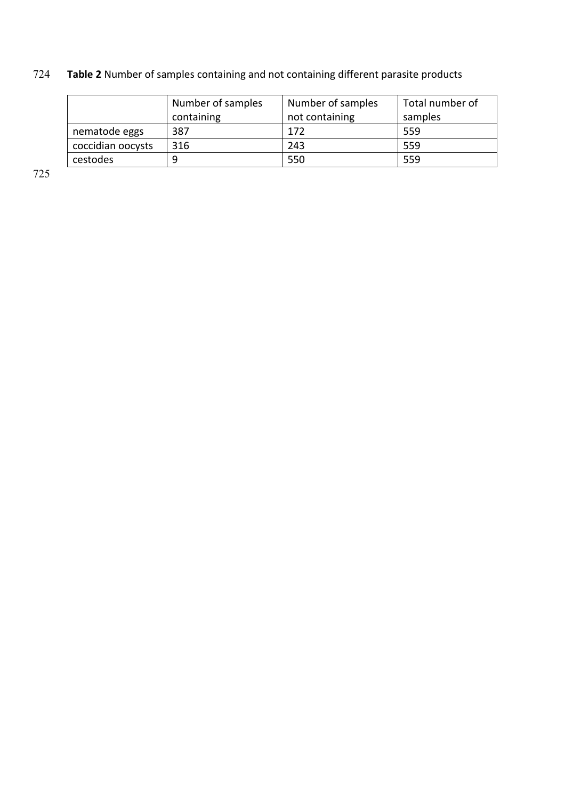# 724 **Table 2** Number of samples containing and not containing different parasite products

|                   | Number of samples | Number of samples | Total number of |
|-------------------|-------------------|-------------------|-----------------|
|                   | containing        | not containing    | samples         |
| nematode eggs     | 387               | 172               | 559             |
| coccidian oocysts | 316               | 243               | 559             |
| cestodes          | 9                 | 550               | 559             |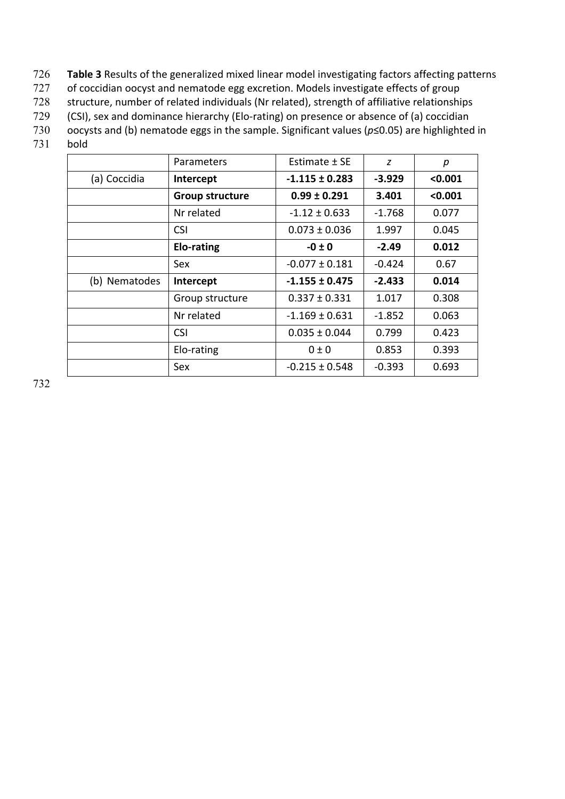- 726 **Table 3** Results of the generalized mixed linear model investigating factors affecting patterns
- 727 of coccidian oocyst and nematode egg excretion. Models investigate effects of group
- 728 structure, number of related individuals (Nr related), strength of affiliative relationships
- 729 (CSI), sex and dominance hierarchy (Elo-rating) on presence or absence of (a) coccidian
- 730 oocysts and (b) nematode eggs in the sample. Significant values (*p*≤0.05) are highlighted in
- 731 bold

|               | Parameters             | Estimate ± SE      | z        | р       |
|---------------|------------------------|--------------------|----------|---------|
| (a) Coccidia  | Intercept              | $-1.115 \pm 0.283$ | $-3.929$ | < 0.001 |
|               | <b>Group structure</b> | $0.99 \pm 0.291$   | 3.401    | < 0.001 |
|               | Nr related             | $-1.12 \pm 0.633$  | $-1.768$ | 0.077   |
|               | <b>CSI</b>             | $0.073 \pm 0.036$  | 1.997    | 0.045   |
|               | Elo-rating             | $-0 \pm 0$         | $-2.49$  | 0.012   |
|               | Sex                    | $-0.077 \pm 0.181$ | $-0.424$ | 0.67    |
| (b) Nematodes | Intercept              | $-1.155 \pm 0.475$ | $-2.433$ | 0.014   |
|               | Group structure        | $0.337 \pm 0.331$  | 1.017    | 0.308   |
|               | Nr related             | $-1.169 \pm 0.631$ | $-1.852$ | 0.063   |
|               | <b>CSI</b>             | $0.035 \pm 0.044$  | 0.799    | 0.423   |
|               | Elo-rating             | $0 \pm 0$          | 0.853    | 0.393   |
|               | Sex                    | $-0.215 \pm 0.548$ | $-0.393$ | 0.693   |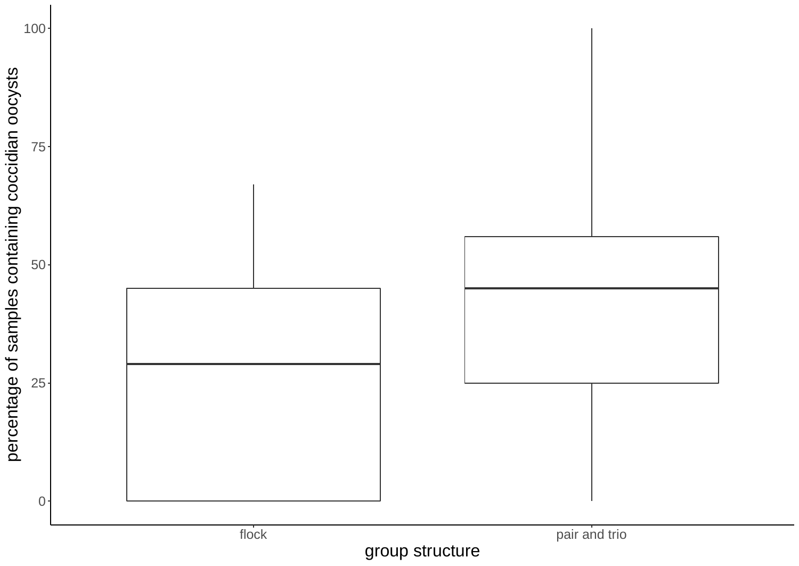

group structure